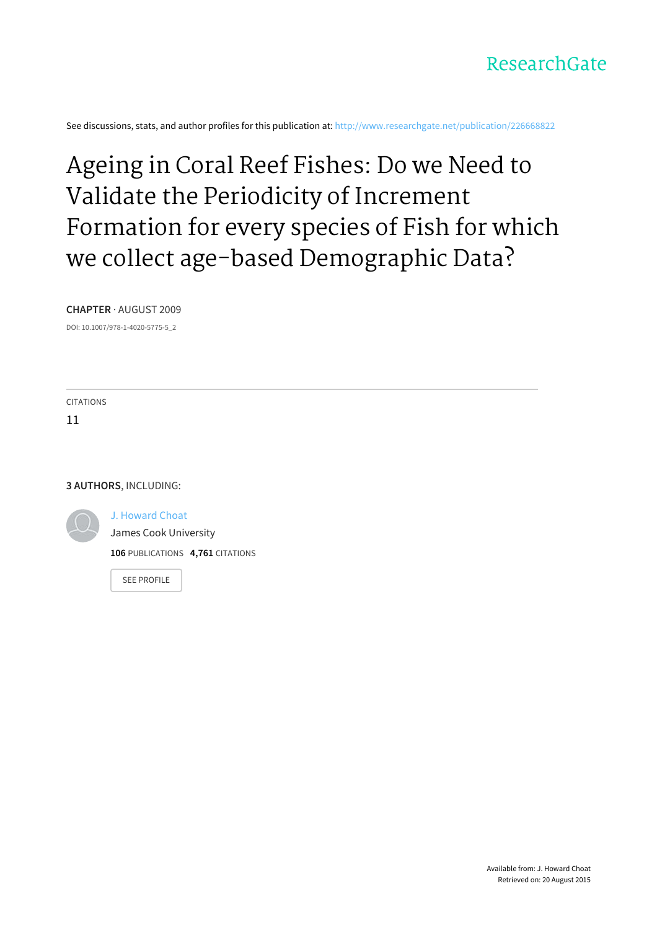

See discussions, stats, and author profiles for this publication at: [http://www.researchgate.net/publication/226668822](http://www.researchgate.net/publication/226668822_Ageing_in_Coral_Reef_Fishes_Do_we_Need_to_Validate_the_Periodicity_of_Increment_Formation_for_every_species_of_Fish_for_which_we_collect_age-based_Demographic_Data?enrichId=rgreq-76edb505-b94a-41f3-9350-131c5656902f&enrichSource=Y292ZXJQYWdlOzIyNjY2ODgyMjtBUzoxMDE5MDg1MzAzMzU3NTBAMTQwMTMwODI5NTkzOA%3D%3D&el=1_x_2)

# Ageing in Coral Reef Fishes: Do we Need to Validate the Periodicity of Increment Formation for every species of Fish for which we collect age-based [Demographic](http://www.researchgate.net/publication/226668822_Ageing_in_Coral_Reef_Fishes_Do_we_Need_to_Validate_the_Periodicity_of_Increment_Formation_for_every_species_of_Fish_for_which_we_collect_age-based_Demographic_Data?enrichId=rgreq-76edb505-b94a-41f3-9350-131c5656902f&enrichSource=Y292ZXJQYWdlOzIyNjY2ODgyMjtBUzoxMDE5MDg1MzAzMzU3NTBAMTQwMTMwODI5NTkzOA%3D%3D&el=1_x_3) Data?

**CHAPTER** · AUGUST 2009

DOI: 10.1007/978-1-4020-5775-5\_2

CITATIONS

11

# **3 AUTHORS**, INCLUDING:

J. [Howard](http://www.researchgate.net/profile/J_Choat?enrichId=rgreq-76edb505-b94a-41f3-9350-131c5656902f&enrichSource=Y292ZXJQYWdlOzIyNjY2ODgyMjtBUzoxMDE5MDg1MzAzMzU3NTBAMTQwMTMwODI5NTkzOA%3D%3D&el=1_x_5) Choat

James Cook [University](http://www.researchgate.net/institution/James_Cook_University?enrichId=rgreq-76edb505-b94a-41f3-9350-131c5656902f&enrichSource=Y292ZXJQYWdlOzIyNjY2ODgyMjtBUzoxMDE5MDg1MzAzMzU3NTBAMTQwMTMwODI5NTkzOA%3D%3D&el=1_x_6) **106** PUBLICATIONS **4,761** CITATIONS

SEE [PROFILE](http://www.researchgate.net/profile/J_Choat?enrichId=rgreq-76edb505-b94a-41f3-9350-131c5656902f&enrichSource=Y292ZXJQYWdlOzIyNjY2ODgyMjtBUzoxMDE5MDg1MzAzMzU3NTBAMTQwMTMwODI5NTkzOA%3D%3D&el=1_x_7)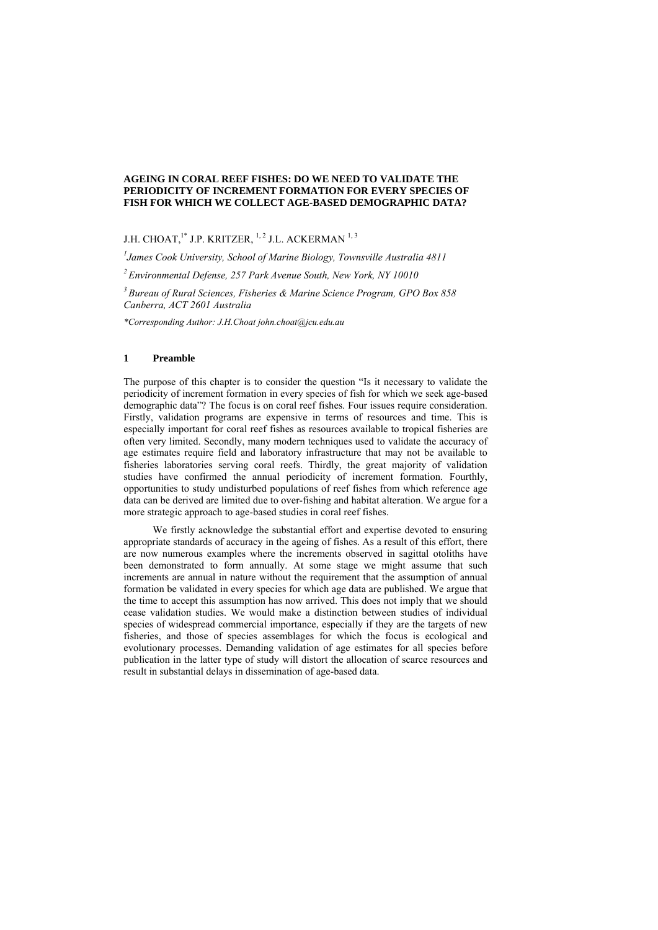## **AGEING IN CORAL REEF FISHES: DO WE NEED TO VALIDATE THE PERIODICITY OF INCREMENT FORMATION FOR EVERY SPECIES OF FISH FOR WHICH WE COLLECT AGE-BASED DEMOGRAPHIC DATA?**

# J.H. CHOAT, <sup>1\*</sup> J.P. KRITZER, <sup>1, 2</sup> J.L. ACKERMAN<sup>1, 3</sup>

*1 James Cook University, School of Marine Biology, Townsville Australia 4811* 

*2 Environmental Defense, 257 Park Avenue South, New York, NY 10010* 

*3 Bureau of Rural Sciences, Fisheries & Marine Science Program, GPO Box 858 Canberra, ACT 2601 Australia* 

*\*Corresponding Author: J.H.Choat john.choat@jcu.edu.au* 

# **1 Preamble**

The purpose of this chapter is to consider the question "Is it necessary to validate the periodicity of increment formation in every species of fish for which we seek age-based demographic data"? The focus is on coral reef fishes. Four issues require consideration. Firstly, validation programs are expensive in terms of resources and time. This is especially important for coral reef fishes as resources available to tropical fisheries are often very limited. Secondly, many modern techniques used to validate the accuracy of age estimates require field and laboratory infrastructure that may not be available to fisheries laboratories serving coral reefs. Thirdly, the great majority of validation studies have confirmed the annual periodicity of increment formation. Fourthly, opportunities to study undisturbed populations of reef fishes from which reference age data can be derived are limited due to over-fishing and habitat alteration. We argue for a more strategic approach to age-based studies in coral reef fishes.

We firstly acknowledge the substantial effort and expertise devoted to ensuring appropriate standards of accuracy in the ageing of fishes. As a result of this effort, there are now numerous examples where the increments observed in sagittal otoliths have been demonstrated to form annually. At some stage we might assume that such increments are annual in nature without the requirement that the assumption of annual formation be validated in every species for which age data are published. We argue that the time to accept this assumption has now arrived. This does not imply that we should cease validation studies. We would make a distinction between studies of individual species of widespread commercial importance, especially if they are the targets of new fisheries, and those of species assemblages for which the focus is ecological and evolutionary processes. Demanding validation of age estimates for all species before publication in the latter type of study will distort the allocation of scarce resources and result in substantial delays in dissemination of age-based data.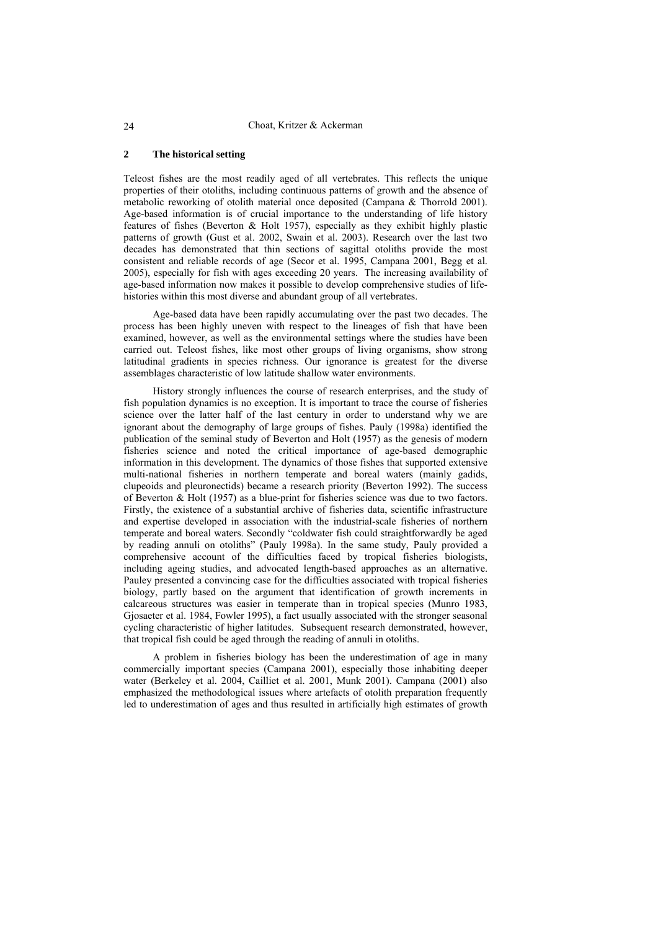### **2 The historical setting**

Teleost fishes are the most readily aged of all vertebrates. This reflects the unique properties of their otoliths, including continuous patterns of growth and the absence of metabolic reworking of otolith material once deposited (Campana & Thorrold 2001). Age-based information is of crucial importance to the understanding of life history features of fishes (Beverton & Holt 1957), especially as they exhibit highly plastic patterns of growth (Gust et al. 2002, Swain et al. 2003). Research over the last two decades has demonstrated that thin sections of sagittal otoliths provide the most consistent and reliable records of age (Secor et al. 1995, Campana 2001, Begg et al. 2005), especially for fish with ages exceeding 20 years. The increasing availability of age-based information now makes it possible to develop comprehensive studies of lifehistories within this most diverse and abundant group of all vertebrates.

Age-based data have been rapidly accumulating over the past two decades. The process has been highly uneven with respect to the lineages of fish that have been examined, however, as well as the environmental settings where the studies have been carried out. Teleost fishes, like most other groups of living organisms, show strong latitudinal gradients in species richness. Our ignorance is greatest for the diverse assemblages characteristic of low latitude shallow water environments.

History strongly influences the course of research enterprises, and the study of fish population dynamics is no exception. It is important to trace the course of fisheries science over the latter half of the last century in order to understand why we are ignorant about the demography of large groups of fishes. Pauly (1998a) identified the publication of the seminal study of Beverton and Holt (1957) as the genesis of modern fisheries science and noted the critical importance of age-based demographic information in this development. The dynamics of those fishes that supported extensive multi-national fisheries in northern temperate and boreal waters (mainly gadids, clupeoids and pleuronectids) became a research priority (Beverton 1992). The success of Beverton & Holt (1957) as a blue-print for fisheries science was due to two factors. Firstly, the existence of a substantial archive of fisheries data, scientific infrastructure and expertise developed in association with the industrial-scale fisheries of northern temperate and boreal waters. Secondly "coldwater fish could straightforwardly be aged by reading annuli on otoliths" (Pauly 1998a). In the same study, Pauly provided a comprehensive account of the difficulties faced by tropical fisheries biologists, including ageing studies, and advocated length-based approaches as an alternative. Pauley presented a convincing case for the difficulties associated with tropical fisheries biology, partly based on the argument that identification of growth increments in calcareous structures was easier in temperate than in tropical species (Munro 1983, Gjosaeter et al. 1984, Fowler 1995), a fact usually associated with the stronger seasonal cycling characteristic of higher latitudes. Subsequent research demonstrated, however, that tropical fish could be aged through the reading of annuli in otoliths.

A problem in fisheries biology has been the underestimation of age in many commercially important species (Campana 2001), especially those inhabiting deeper water (Berkeley et al. 2004, Cailliet et al. 2001, Munk 2001). Campana (2001) also emphasized the methodological issues where artefacts of otolith preparation frequently led to underestimation of ages and thus resulted in artificially high estimates of growth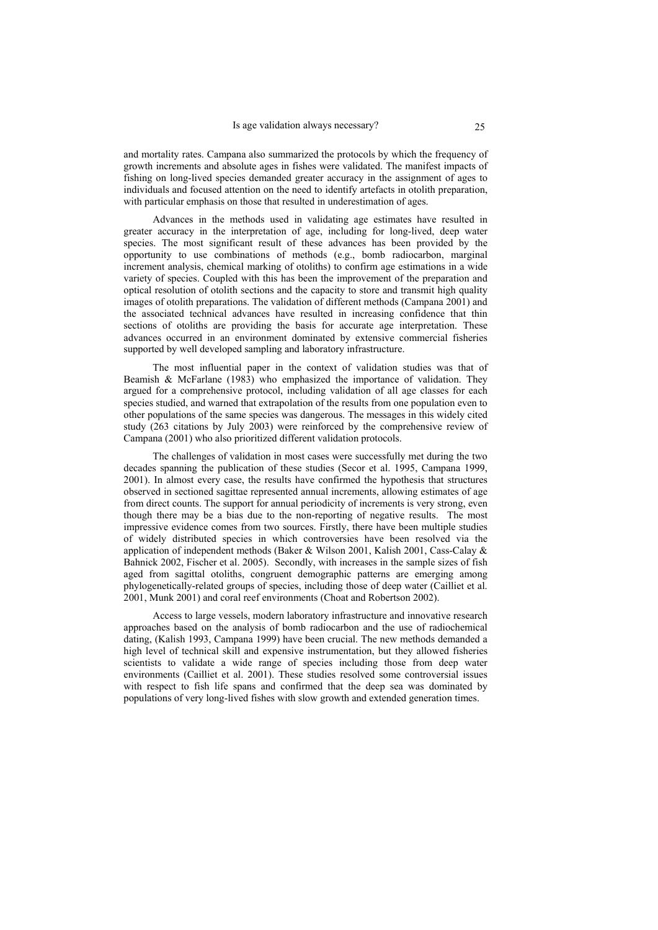and mortality rates. Campana also summarized the protocols by which the frequency of growth increments and absolute ages in fishes were validated. The manifest impacts of fishing on long-lived species demanded greater accuracy in the assignment of ages to individuals and focused attention on the need to identify artefacts in otolith preparation, with particular emphasis on those that resulted in underestimation of ages.

Advances in the methods used in validating age estimates have resulted in greater accuracy in the interpretation of age, including for long-lived, deep water species. The most significant result of these advances has been provided by the opportunity to use combinations of methods (e.g., bomb radiocarbon, marginal increment analysis, chemical marking of otoliths) to confirm age estimations in a wide variety of species. Coupled with this has been the improvement of the preparation and optical resolution of otolith sections and the capacity to store and transmit high quality images of otolith preparations. The validation of different methods (Campana 2001) and the associated technical advances have resulted in increasing confidence that thin sections of otoliths are providing the basis for accurate age interpretation. These advances occurred in an environment dominated by extensive commercial fisheries supported by well developed sampling and laboratory infrastructure.

The most influential paper in the context of validation studies was that of Beamish & McFarlane (1983) who emphasized the importance of validation. They argued for a comprehensive protocol, including validation of all age classes for each species studied, and warned that extrapolation of the results from one population even to other populations of the same species was dangerous. The messages in this widely cited study (263 citations by July 2003) were reinforced by the comprehensive review of Campana (2001) who also prioritized different validation protocols.

The challenges of validation in most cases were successfully met during the two decades spanning the publication of these studies (Secor et al. 1995, Campana 1999, 2001). In almost every case, the results have confirmed the hypothesis that structures observed in sectioned sagittae represented annual increments, allowing estimates of age from direct counts. The support for annual periodicity of increments is very strong, even though there may be a bias due to the non-reporting of negative results. The most impressive evidence comes from two sources. Firstly, there have been multiple studies of widely distributed species in which controversies have been resolved via the application of independent methods (Baker & Wilson 2001, Kalish 2001, Cass-Calay & Bahnick 2002, Fischer et al. 2005). Secondly, with increases in the sample sizes of fish aged from sagittal otoliths, congruent demographic patterns are emerging among phylogenetically-related groups of species, including those of deep water (Cailliet et al. 2001, Munk 2001) and coral reef environments (Choat and Robertson 2002).

Access to large vessels, modern laboratory infrastructure and innovative research approaches based on the analysis of bomb radiocarbon and the use of radiochemical dating, (Kalish 1993, Campana 1999) have been crucial. The new methods demanded a high level of technical skill and expensive instrumentation, but they allowed fisheries scientists to validate a wide range of species including those from deep water environments (Cailliet et al. 2001). These studies resolved some controversial issues with respect to fish life spans and confirmed that the deep sea was dominated by populations of very long-lived fishes with slow growth and extended generation times.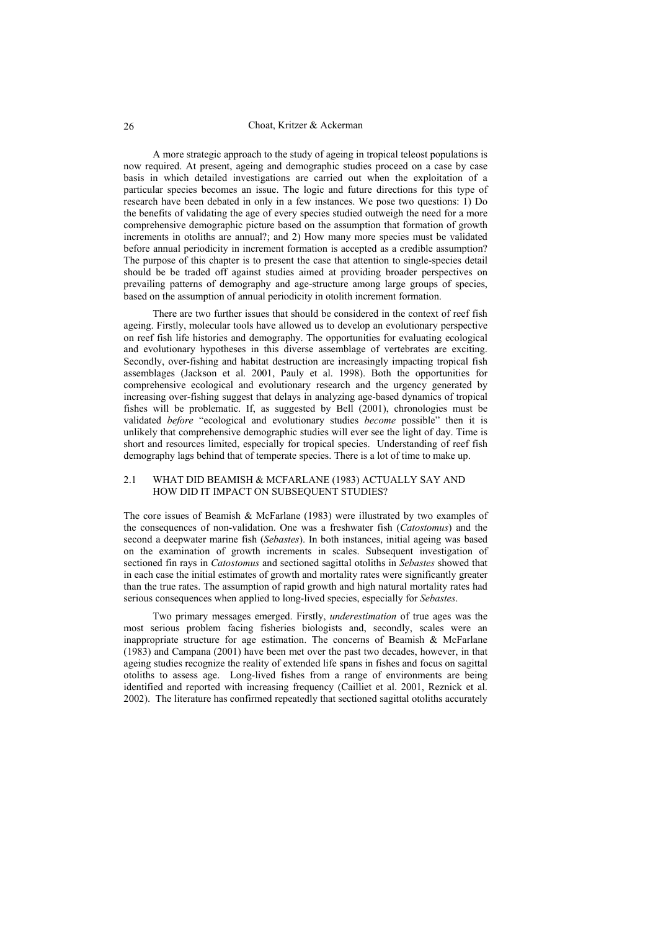A more strategic approach to the study of ageing in tropical teleost populations is now required. At present, ageing and demographic studies proceed on a case by case basis in which detailed investigations are carried out when the exploitation of a particular species becomes an issue. The logic and future directions for this type of research have been debated in only in a few instances. We pose two questions: 1) Do the benefits of validating the age of every species studied outweigh the need for a more comprehensive demographic picture based on the assumption that formation of growth increments in otoliths are annual?; and 2) How many more species must be validated before annual periodicity in increment formation is accepted as a credible assumption? The purpose of this chapter is to present the case that attention to single-species detail should be be traded off against studies aimed at providing broader perspectives on prevailing patterns of demography and age-structure among large groups of species, based on the assumption of annual periodicity in otolith increment formation.

There are two further issues that should be considered in the context of reef fish ageing. Firstly, molecular tools have allowed us to develop an evolutionary perspective on reef fish life histories and demography. The opportunities for evaluating ecological and evolutionary hypotheses in this diverse assemblage of vertebrates are exciting. Secondly, over-fishing and habitat destruction are increasingly impacting tropical fish assemblages (Jackson et al. 2001, Pauly et al. 1998). Both the opportunities for comprehensive ecological and evolutionary research and the urgency generated by increasing over-fishing suggest that delays in analyzing age-based dynamics of tropical fishes will be problematic. If, as suggested by Bell (2001), chronologies must be validated *before* "ecological and evolutionary studies *become* possible" then it is unlikely that comprehensive demographic studies will ever see the light of day. Time is short and resources limited, especially for tropical species. Understanding of reef fish demography lags behind that of temperate species. There is a lot of time to make up.

#### 2.1 WHAT DID BEAMISH & MCFARLANE (1983) ACTUALLY SAY AND HOW DID IT IMPACT ON SUBSEQUENT STUDIES?

The core issues of Beamish & McFarlane (1983) were illustrated by two examples of the consequences of non-validation. One was a freshwater fish (*Catostomus*) and the second a deepwater marine fish (*Sebastes*). In both instances, initial ageing was based on the examination of growth increments in scales. Subsequent investigation of sectioned fin rays in *Catostomus* and sectioned sagittal otoliths in *Sebastes* showed that in each case the initial estimates of growth and mortality rates were significantly greater than the true rates. The assumption of rapid growth and high natural mortality rates had serious consequences when applied to long-lived species, especially for *Sebastes*.

Two primary messages emerged. Firstly, *underestimation* of true ages was the most serious problem facing fisheries biologists and, secondly, scales were an inappropriate structure for age estimation. The concerns of Beamish & McFarlane (1983) and Campana (2001) have been met over the past two decades, however, in that ageing studies recognize the reality of extended life spans in fishes and focus on sagittal otoliths to assess age. Long-lived fishes from a range of environments are being identified and reported with increasing frequency (Cailliet et al. 2001, Reznick et al. 2002). The literature has confirmed repeatedly that sectioned sagittal otoliths accurately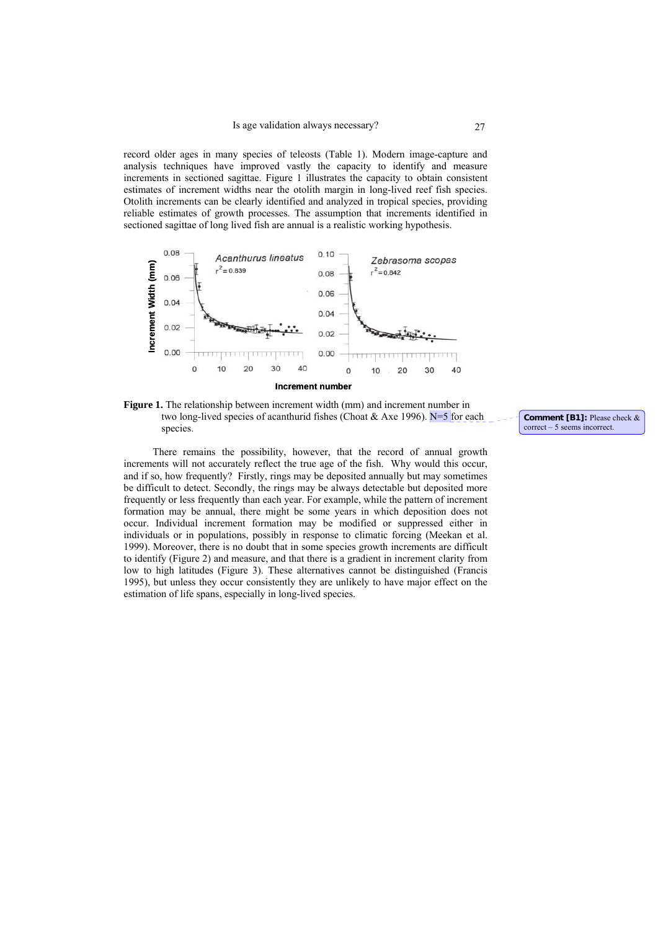record older ages in many species of teleosts (Table 1). Modern image-capture and analysis techniques have improved vastly the capacity to identify and measure increments in sectioned sagittae. Figure 1 illustrates the capacity to obtain consistent estimates of increment widths near the otolith margin in long-lived reef fish species. Otolith increments can be clearly identified and analyzed in tropical species, providing reliable estimates of growth processes. The assumption that increments identified in sectioned sagittae of long lived fish are annual is a realistic working hypothesis.



**Figure 1.** The relationship between increment width (mm) and increment number in two long-lived species of acanthurid fishes (Choat & Axe 1996).  $N=5$  for each species.

There remains the possibility, however, that the record of annual growth increments will not accurately reflect the true age of the fish. Why would this occur, and if so, how frequently? Firstly, rings may be deposited annually but may sometimes be difficult to detect. Secondly, the rings may be always detectable but deposited more frequently or less frequently than each year. For example, while the pattern of increment formation may be annual, there might be some years in which deposition does not occur. Individual increment formation may be modified or suppressed either in individuals or in populations, possibly in response to climatic forcing (Meekan et al. 1999). Moreover, there is no doubt that in some species growth increments are difficult to identify (Figure 2) and measure, and that there is a gradient in increment clarity from low to high latitudes (Figure 3). These alternatives cannot be distinguished (Francis 1995), but unless they occur consistently they are unlikely to have major effect on the estimation of life spans, especially in long-lived species.

**Comment [B1]:** Please check & correct – 5 seems incorrect.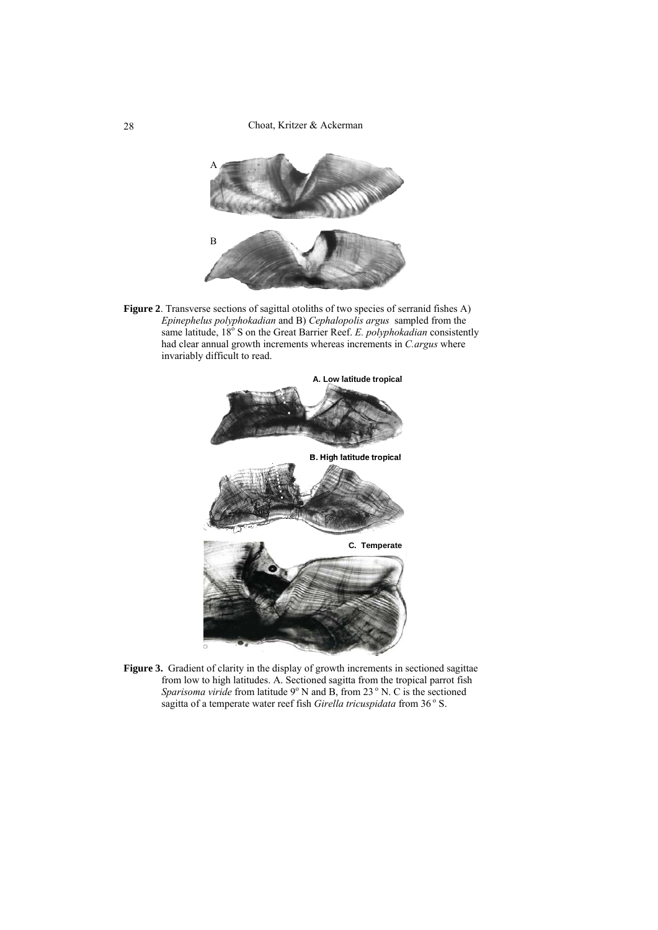Choat, Kritzer & Ackerman 28



**Figure 2**. Transverse sections of sagittal otoliths of two species of serranid fishes A) *Epinephelus polyphokadian* and B) *Cephalopolis argus* sampled from the same latitude, 18<sup>°</sup> S on the Great Barrier Reef. *E. polyphokadian* consistently had clear annual growth increments whereas increments in *C.argus* where invariably difficult to read.



Figure 3. Gradient of clarity in the display of growth increments in sectioned sagittae from low to high latitudes. A. Sectioned sagitta from the tropical parrot fish Sparisoma viride from latitude 9° N and B, from 23 ° N. C is the sectioned sagitta of a temperate water reef fish *Girella tricuspidata* from 36° S.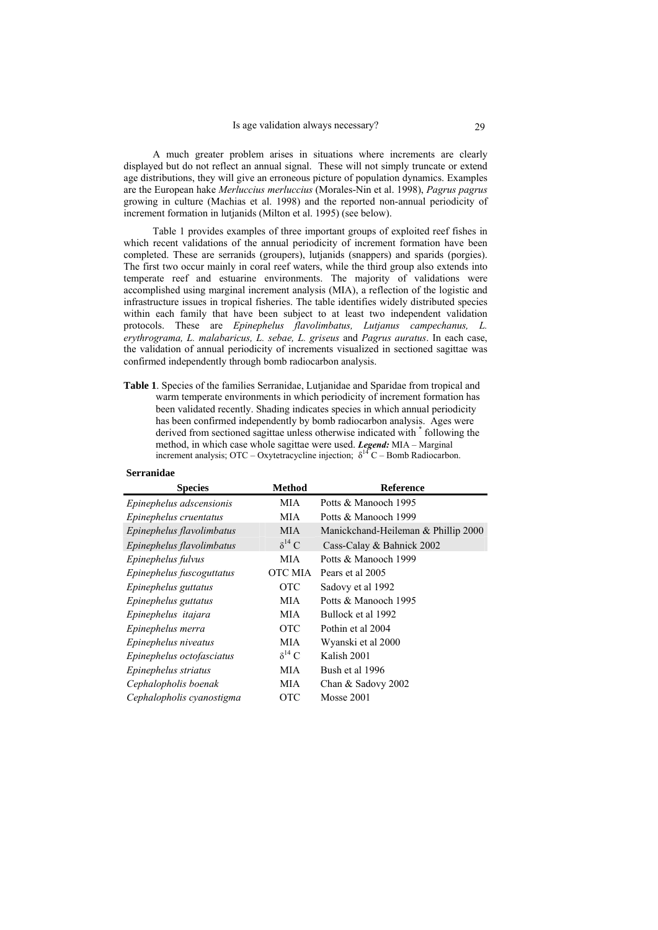A much greater problem arises in situations where increments are clearly displayed but do not reflect an annual signal. These will not simply truncate or extend age distributions, they will give an erroneous picture of population dynamics. Examples are the European hake *Merluccius merluccius* (Morales-Nin et al. 1998), *Pagrus pagrus* growing in culture (Machias et al. 1998) and the reported non-annual periodicity of increment formation in lutjanids (Milton et al. 1995) (see below).

Table 1 provides examples of three important groups of exploited reef fishes in which recent validations of the annual periodicity of increment formation have been completed. These are serranids (groupers), lutjanids (snappers) and sparids (porgies). The first two occur mainly in coral reef waters, while the third group also extends into temperate reef and estuarine environments. The majority of validations were accomplished using marginal increment analysis (MIA), a reflection of the logistic and infrastructure issues in tropical fisheries. The table identifies widely distributed species within each family that have been subject to at least two independent validation protocols. These are *Epinephelus flavolimbatus, Lutjanus campechanus, L. erythrograma, L. malabaricus, L. sebae, L. griseus* and *Pagrus auratus*. In each case, the validation of annual periodicity of increments visualized in sectioned sagittae was confirmed independently through bomb radiocarbon analysis.

**Table 1**. Species of the families Serranidae, Lutjanidae and Sparidae from tropical and warm temperate environments in which periodicity of increment formation has been validated recently. Shading indicates species in which annual periodicity has been confirmed independently by bomb radiocarbon analysis. Ages were derived from sectioned sagittae unless otherwise indicated with \* following the method, in which case whole sagittae were used. *Legend:* MIA – Marginal increment analysis; OTC – Oxytetracycline injection;  $\delta^{14}$  C – Bomb Radiocarbon.

| <b>Species</b>            | <b>Method</b>   | <b>Reference</b>                    |
|---------------------------|-----------------|-------------------------------------|
| Epinephelus adscensionis  | MIA             | Potts & Manooch 1995                |
| Epinephelus cruentatus    | MIA             | Potts & Manooch 1999                |
| Epinephelus flavolimbatus | <b>MIA</b>      | Manickchand-Heileman & Phillip 2000 |
| Epinephelus flavolimbatus | $\delta^{14}$ C | Cass-Calay & Bahnick 2002           |
| Epinephelus fulvus        | MIA             | Potts & Manooch 1999                |
| Epinephelus fuscoguttatus | OTC MIA         | Pears et al 2005                    |
| Epinephelus guttatus      | <b>OTC</b>      | Sadovy et al 1992                   |
| Epinephelus guttatus      | MIA             | Potts & Manooch 1995                |
| Epinephelus itajara       | MIA.            | Bullock et al 1992                  |
| Epinephelus merra         | <b>OTC</b>      | Pothin et al 2004                   |
| Epinephelus niveatus      | MIA             | Wyanski et al 2000                  |
| Epinephelus octofasciatus | $\delta^{14}$ C | Kalish 2001                         |
| Epinephelus striatus      | MIA             | Bush et al 1996                     |
| Cephalopholis boenak      | MIA             | Chan & Sadovy 2002                  |
| Cephalopholis cyanostigma | OTC             | Mosse 2001                          |

#### **Serranidae**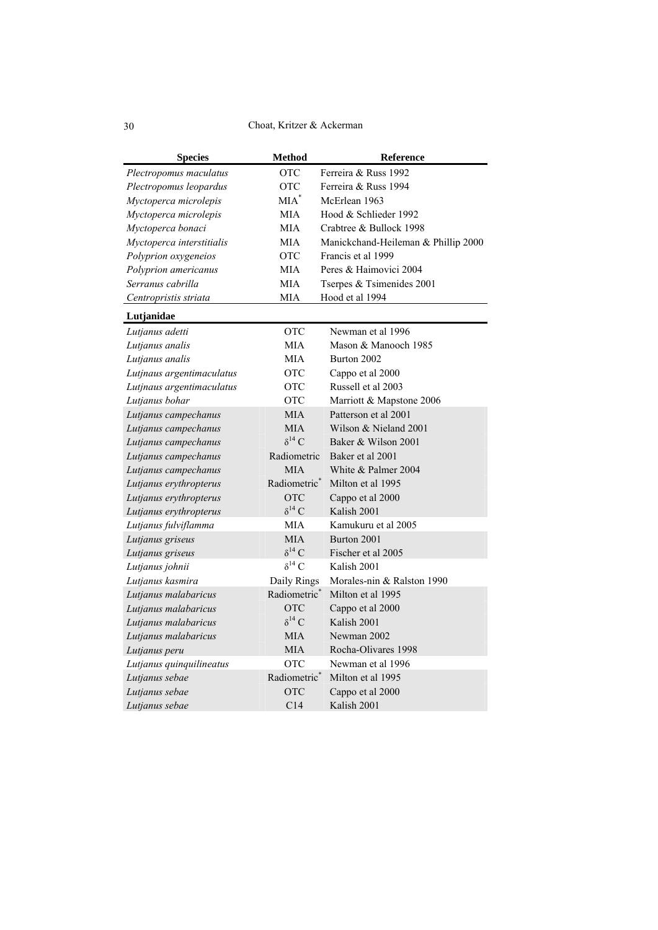| <b>Species</b>            | <b>Method</b>            | <b>Reference</b>                    |  |
|---------------------------|--------------------------|-------------------------------------|--|
| Plectropomus maculatus    | <b>OTC</b>               | Ferreira & Russ 1992                |  |
| Plectropomus leopardus    | <b>OTC</b>               | Ferreira & Russ 1994                |  |
| Myctoperca microlepis     | $MIA^"$                  | McErlean 1963                       |  |
| Myctoperca microlepis     | <b>MIA</b>               | Hood & Schlieder 1992               |  |
| Myctoperca bonaci         | <b>MIA</b>               | Crabtree & Bullock 1998             |  |
| Myctoperca interstitialis | <b>MIA</b>               | Manickchand-Heileman & Phillip 2000 |  |
| Polyprion oxygeneios      | <b>OTC</b>               | Francis et al 1999                  |  |
| Polyprion americanus      | MIA                      | Peres & Haimovici 2004              |  |
| Serranus cabrilla         | <b>MIA</b>               | Tserpes & Tsimenides 2001           |  |
| Centropristis striata     | <b>MIA</b>               | Hood et al 1994                     |  |
| Lutjanidae                |                          |                                     |  |
| Lutjanus adetti           | <b>OTC</b>               | Newman et al 1996                   |  |
| Lutjanus analis           | <b>MIA</b>               | Mason & Manooch 1985                |  |
| Lutjanus analis           | <b>MIA</b>               | Burton 2002                         |  |
| Lutjnaus argentimaculatus | OTC                      | Cappo et al 2000                    |  |
| Lutjnaus argentimaculatus | <b>OTC</b>               | Russell et al 2003                  |  |
| Lutjanus bohar            | <b>OTC</b>               | Marriott & Mapstone 2006            |  |
| Lutjanus campechanus      | <b>MIA</b>               | Patterson et al 2001                |  |
| Lutjanus campechanus      | <b>MIA</b>               | Wilson & Nieland 2001               |  |
| Lutjanus campechanus      | $\delta^{14}$ C          | Baker & Wilson 2001                 |  |
| Lutjanus campechanus      | Radiometric              | Baker et al 2001                    |  |
| Lutjanus campechanus      | <b>MIA</b>               | White & Palmer 2004                 |  |
| Lutjanus erythropterus    | Radiometric <sup>®</sup> | Milton et al 1995                   |  |
| Lutjanus erythropterus    | <b>OTC</b>               | Cappo et al 2000                    |  |
| Lutjanus erythropterus    | $\delta^{14}$ C          | Kalish 2001                         |  |
| Lutjanus fulviflamma      | <b>MIA</b>               | Kamukuru et al 2005                 |  |
| Lutjanus griseus          | <b>MIA</b>               | Burton 2001                         |  |
| Lutjanus griseus          | $\delta^{14}$ C          | Fischer et al 2005                  |  |
| Lutjanus johnii           | $\delta^{14}$ C          | Kalish 2001                         |  |
| Lutjanus kasmira          | Daily Rings              | Morales-nin & Ralston 1990          |  |
| Lutjanus malabaricus      | Radiometric <sup>®</sup> | Milton et al 1995                   |  |
| Lutjanus malabaricus      | <b>OTC</b>               | Cappo et al 2000                    |  |
| Lutjanus malabaricus      | $\delta^{14}$ C          | Kalish 2001                         |  |
| Lutjanus malabaricus      | <b>MIA</b>               | Newman 2002                         |  |
| Lutjanus peru             | <b>MIA</b>               | Rocha-Olivares 1998                 |  |
| Lutjanus quinquilineatus  | <b>OTC</b>               | Newman et al 1996                   |  |
| Lutjanus sebae            | Radiometric <sup>®</sup> | Milton et al 1995                   |  |
| Lutjanus sebae            | <b>OTC</b>               | Cappo et al 2000                    |  |
| Lutjanus sebae            | C14                      | Kalish 2001                         |  |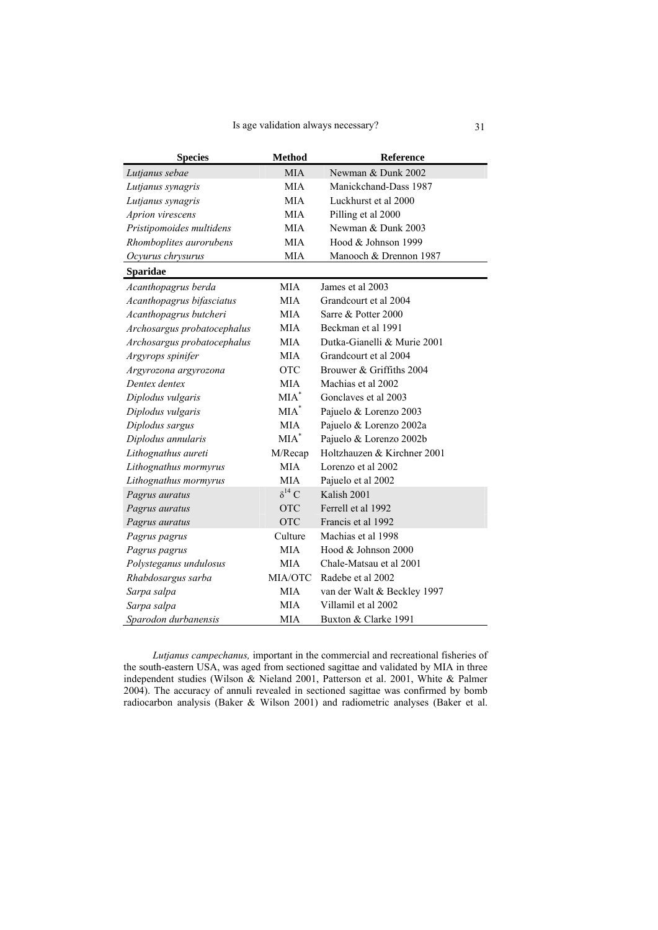# Is age validation always necessary? 31

| <b>Species</b>              | <b>Method</b>   | <b>Reference</b>            |
|-----------------------------|-----------------|-----------------------------|
| Lutjanus sebae              | <b>MIA</b>      | Newman & Dunk 2002          |
| Lutjanus synagris           | <b>MIA</b>      | Manickchand-Dass 1987       |
| Lutjanus synagris           | <b>MIA</b>      | Luckhurst et al 2000        |
| Aprion virescens            | <b>MIA</b>      | Pilling et al 2000          |
| Pristipomoides multidens    | <b>MIA</b>      | Newman & Dunk 2003          |
| Rhomboplites aurorubens     | <b>MIA</b>      | Hood & Johnson 1999         |
| Ocyurus chrysurus           | <b>MIA</b>      | Manooch & Drennon 1987      |
| <b>Sparidae</b>             |                 |                             |
| Acanthopagrus berda         | <b>MIA</b>      | James et al 2003            |
| Acanthopagrus bifasciatus   | <b>MIA</b>      | Grandcourt et al 2004       |
| Acanthopagrus butcheri      | <b>MIA</b>      | Sarre & Potter 2000         |
| Archosargus probatocephalus | <b>MIA</b>      | Beckman et al 1991          |
| Archosargus probatocephalus | <b>MIA</b>      | Dutka-Gianelli & Murie 2001 |
| Argyrops spinifer           | <b>MIA</b>      | Grandcourt et al 2004       |
| Argyrozona argyrozona       | <b>OTC</b>      | Brouwer & Griffiths 2004    |
| Dentex dentex               | <b>MIA</b>      | Machias et al 2002          |
| Diplodus vulgaris           | $MIA^*$         | Gonclaves et al 2003        |
| Diplodus vulgaris           | $MIA^*$         | Pajuelo & Lorenzo 2003      |
| Diplodus sargus             | <b>MIA</b>      | Pajuelo & Lorenzo 2002a     |
| Diplodus annularis          | $MIA^*$         | Pajuelo & Lorenzo 2002b     |
| Lithognathus aureti         | M/Recap         | Holtzhauzen & Kirchner 2001 |
| Lithognathus mormyrus       | <b>MIA</b>      | Lorenzo et al 2002          |
| Lithognathus mormyrus       | <b>MIA</b>      | Pajuelo et al 2002          |
| Pagrus auratus              | $\delta^{14}$ C | Kalish 2001                 |
| Pagrus auratus              | <b>OTC</b>      | Ferrell et al 1992          |
| Pagrus auratus              | <b>OTC</b>      | Francis et al 1992          |
| Pagrus pagrus               | Culture         | Machias et al 1998          |
| Pagrus pagrus               | <b>MIA</b>      | Hood & Johnson 2000         |
| Polysteganus undulosus      | <b>MIA</b>      | Chale-Matsau et al 2001     |
| Rhabdosargus sarba          | MIA/OTC         | Radebe et al 2002           |
| Sarpa salpa                 | <b>MIA</b>      | van der Walt & Beckley 1997 |
| Sarpa salpa                 | MIA             | Villamil et al 2002         |
| Sparodon durbanensis        | MIA             | Buxton & Clarke 1991        |

*Lutjanus campechanus,* important in the commercial and recreational fisheries of the south-eastern USA, was aged from sectioned sagittae and validated by MIA in three independent studies (Wilson & Nieland 2001, Patterson et al. 2001, White & Palmer 2004). The accuracy of annuli revealed in sectioned sagittae was confirmed by bomb radiocarbon analysis (Baker & Wilson 2001) and radiometric analyses (Baker et al.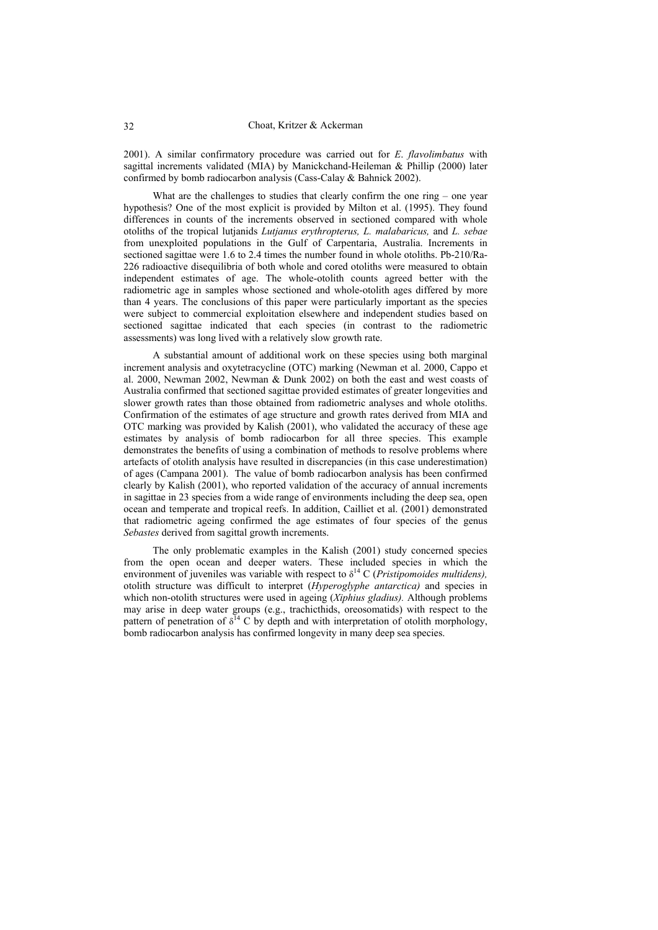2001). A similar confirmatory procedure was carried out for *E*. *flavolimbatus* with sagittal increments validated (MIA) by Manickchand-Heileman & Phillip (2000) later confirmed by bomb radiocarbon analysis (Cass-Calay & Bahnick 2002).

What are the challenges to studies that clearly confirm the one ring – one year hypothesis? One of the most explicit is provided by Milton et al. (1995). They found differences in counts of the increments observed in sectioned compared with whole otoliths of the tropical lutjanids *Lutjanus erythropterus, L. malabaricus,* and *L. sebae* from unexploited populations in the Gulf of Carpentaria, Australia. Increments in sectioned sagittae were 1.6 to 2.4 times the number found in whole otoliths. Pb-210/Ra-226 radioactive disequilibria of both whole and cored otoliths were measured to obtain independent estimates of age. The whole-otolith counts agreed better with the radiometric age in samples whose sectioned and whole-otolith ages differed by more than 4 years. The conclusions of this paper were particularly important as the species were subject to commercial exploitation elsewhere and independent studies based on sectioned sagittae indicated that each species (in contrast to the radiometric assessments) was long lived with a relatively slow growth rate.

A substantial amount of additional work on these species using both marginal increment analysis and oxytetracycline (OTC) marking (Newman et al. 2000, Cappo et al. 2000, Newman 2002, Newman & Dunk 2002) on both the east and west coasts of Australia confirmed that sectioned sagittae provided estimates of greater longevities and slower growth rates than those obtained from radiometric analyses and whole otoliths. Confirmation of the estimates of age structure and growth rates derived from MIA and OTC marking was provided by Kalish (2001), who validated the accuracy of these age estimates by analysis of bomb radiocarbon for all three species. This example demonstrates the benefits of using a combination of methods to resolve problems where artefacts of otolith analysis have resulted in discrepancies (in this case underestimation) of ages (Campana 2001). The value of bomb radiocarbon analysis has been confirmed clearly by Kalish (2001), who reported validation of the accuracy of annual increments in sagittae in 23 species from a wide range of environments including the deep sea, open ocean and temperate and tropical reefs. In addition, Cailliet et al. (2001) demonstrated that radiometric ageing confirmed the age estimates of four species of the genus *Sebastes* derived from sagittal growth increments.

The only problematic examples in the Kalish (2001) study concerned species from the open ocean and deeper waters. These included species in which the environment of juveniles was variable with respect to δ 14 C (*Pristipomoides multidens),* otolith structure was difficult to interpret (*Hyperoglyphe antarctica)* and species in which non-otolith structures were used in ageing (*Xiphius gladius).* Although problems may arise in deep water groups (e.g., trachicthids, oreosomatids) with respect to the pattern of penetration of  $\delta^{14}$  C by depth and with interpretation of otolith morphology, bomb radiocarbon analysis has confirmed longevity in many deep sea species.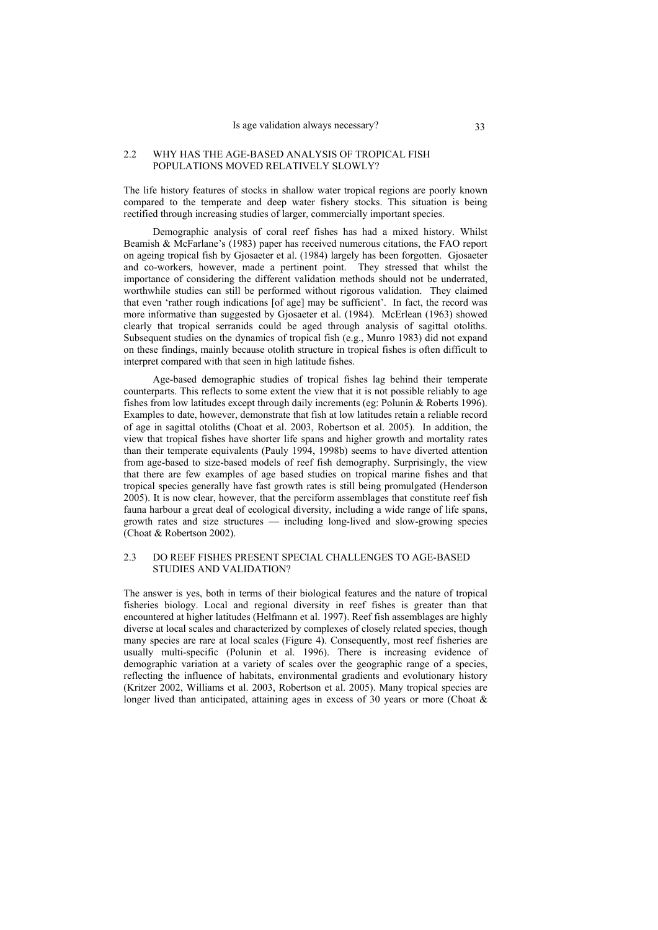#### 2.2 WHY HAS THE AGE-BASED ANALYSIS OF TROPICAL FISH POPULATIONS MOVED RELATIVELY SLOWLY?

The life history features of stocks in shallow water tropical regions are poorly known compared to the temperate and deep water fishery stocks. This situation is being rectified through increasing studies of larger, commercially important species.

Demographic analysis of coral reef fishes has had a mixed history. Whilst Beamish & McFarlane's (1983) paper has received numerous citations, the FAO report on ageing tropical fish by Gjosaeter et al. (1984) largely has been forgotten. Gjosaeter and co-workers, however, made a pertinent point. They stressed that whilst the importance of considering the different validation methods should not be underrated, worthwhile studies can still be performed without rigorous validation. They claimed that even 'rather rough indications [of age] may be sufficient'. In fact, the record was more informative than suggested by Gjosaeter et al. (1984). McErlean (1963) showed clearly that tropical serranids could be aged through analysis of sagittal otoliths. Subsequent studies on the dynamics of tropical fish (e.g., Munro 1983) did not expand on these findings, mainly because otolith structure in tropical fishes is often difficult to interpret compared with that seen in high latitude fishes.

Age-based demographic studies of tropical fishes lag behind their temperate counterparts. This reflects to some extent the view that it is not possible reliably to age fishes from low latitudes except through daily increments (eg: Polunin & Roberts 1996). Examples to date, however, demonstrate that fish at low latitudes retain a reliable record of age in sagittal otoliths (Choat et al. 2003, Robertson et al. 2005). In addition, the view that tropical fishes have shorter life spans and higher growth and mortality rates than their temperate equivalents (Pauly 1994, 1998b) seems to have diverted attention from age-based to size-based models of reef fish demography. Surprisingly, the view that there are few examples of age based studies on tropical marine fishes and that tropical species generally have fast growth rates is still being promulgated (Henderson 2005). It is now clear, however, that the perciform assemblages that constitute reef fish fauna harbour a great deal of ecological diversity, including a wide range of life spans, growth rates and size structures — including long-lived and slow-growing species (Choat & Robertson 2002).

## 2.3 DO REEF FISHES PRESENT SPECIAL CHALLENGES TO AGE-BASED STUDIES AND VALIDATION?

The answer is yes, both in terms of their biological features and the nature of tropical fisheries biology. Local and regional diversity in reef fishes is greater than that encountered at higher latitudes (Helfmann et al. 1997). Reef fish assemblages are highly diverse at local scales and characterized by complexes of closely related species, though many species are rare at local scales (Figure 4). Consequently, most reef fisheries are usually multi-specific (Polunin et al. 1996). There is increasing evidence of demographic variation at a variety of scales over the geographic range of a species, reflecting the influence of habitats, environmental gradients and evolutionary history (Kritzer 2002, Williams et al. 2003, Robertson et al. 2005). Many tropical species are longer lived than anticipated, attaining ages in excess of 30 years or more (Choat &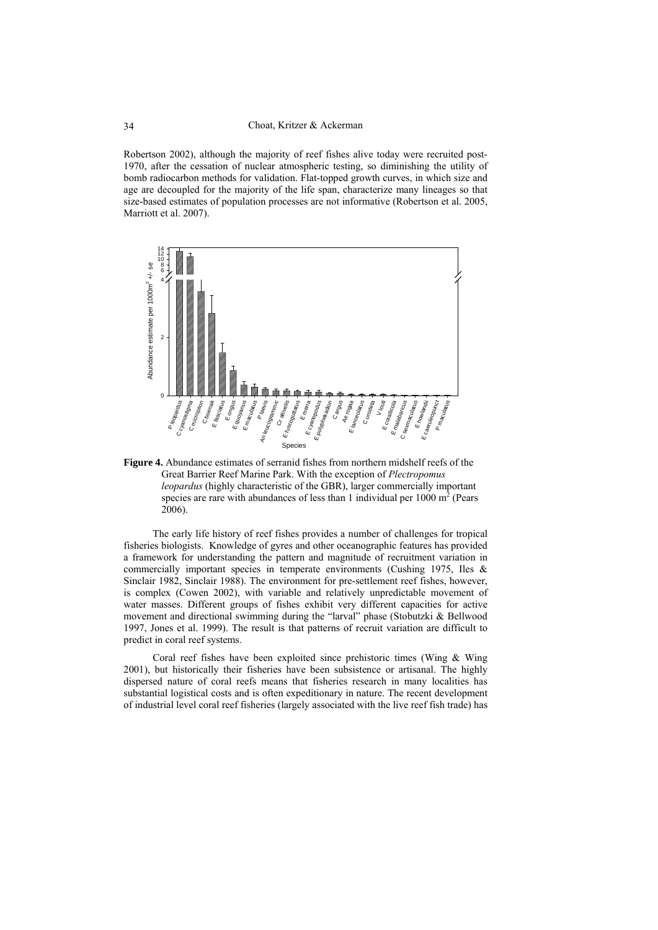Robertson 2002), although the majority of reef fishes alive today were recruited post-1970, after the cessation of nuclear atmospheric testing, so diminishing the utility of bomb radiocarbon methods for validation. Flat-topped growth curves, in which size and age are decoupled for the majority of the life span, characterize many lineages so that size-based estimates of population processes are not informative (Robertson et al. 2005, Marriott et al. 2007).



**Figure 4.** Abundance estimates of serranid fishes from northern midshelf reefs of the Great Barrier Reef Marine Park. With the exception of *Plectropomus leopardus* (highly characteristic of the GBR), larger commercially important species are rare with abundances of less than 1 individual per  $1000 \text{ m}^2$  (Pears 2006).

The early life history of reef fishes provides a number of challenges for tropical fisheries biologists. Knowledge of gyres and other oceanographic features has provided a framework for understanding the pattern and magnitude of recruitment variation in commercially important species in temperate environments (Cushing 1975, Iles & Sinclair 1982, Sinclair 1988). The environment for pre-settlement reef fishes, however, is complex (Cowen 2002), with variable and relatively unpredictable movement of water masses. Different groups of fishes exhibit very different capacities for active movement and directional swimming during the "larval" phase (Stobutzki & Bellwood 1997, Jones et al. 1999). The result is that patterns of recruit variation are difficult to predict in coral reef systems.

Coral reef fishes have been exploited since prehistoric times (Wing & Wing 2001), but historically their fisheries have been subsistence or artisanal. The highly dispersed nature of coral reefs means that fisheries research in many localities has substantial logistical costs and is often expeditionary in nature. The recent development of industrial level coral reef fisheries (largely associated with the live reef fish trade) has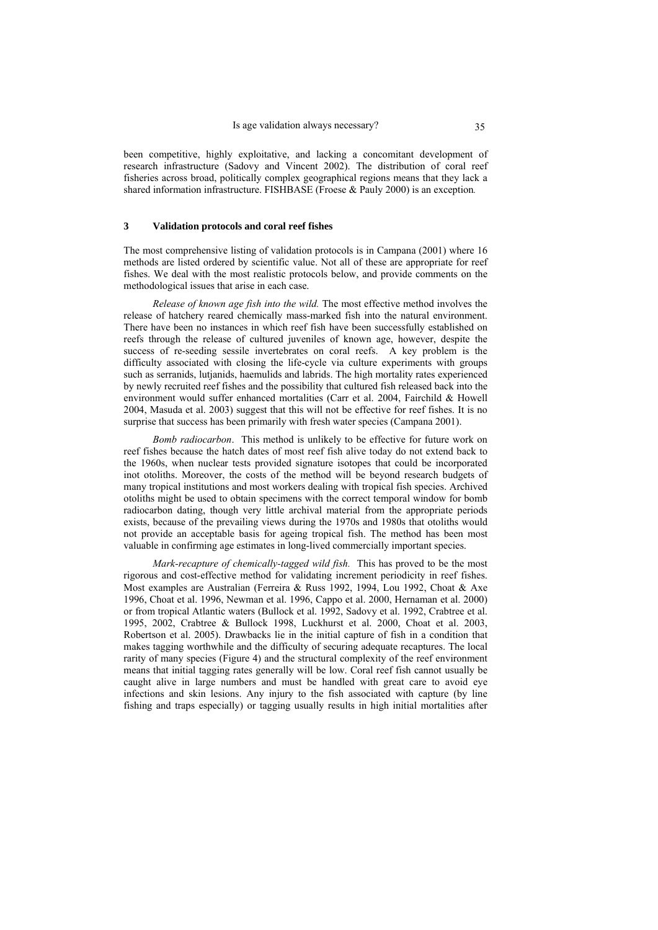been competitive, highly exploitative, and lacking a concomitant development of research infrastructure (Sadovy and Vincent 2002). The distribution of coral reef fisheries across broad, politically complex geographical regions means that they lack a shared information infrastructure. FISHBASE (Froese & Pauly 2000) is an exception*.*

#### **3 Validation protocols and coral reef fishes**

The most comprehensive listing of validation protocols is in Campana (2001) where 16 methods are listed ordered by scientific value. Not all of these are appropriate for reef fishes. We deal with the most realistic protocols below, and provide comments on the methodological issues that arise in each case.

*Release of known age fish into the wild.* The most effective method involves the release of hatchery reared chemically mass-marked fish into the natural environment. There have been no instances in which reef fish have been successfully established on reefs through the release of cultured juveniles of known age, however, despite the success of re-seeding sessile invertebrates on coral reefs. A key problem is the difficulty associated with closing the life-cycle via culture experiments with groups such as serranids, lutjanids, haemulids and labrids. The high mortality rates experienced by newly recruited reef fishes and the possibility that cultured fish released back into the environment would suffer enhanced mortalities (Carr et al. 2004, Fairchild & Howell 2004, Masuda et al. 2003) suggest that this will not be effective for reef fishes. It is no surprise that success has been primarily with fresh water species (Campana 2001).

*Bomb radiocarbon*. This method is unlikely to be effective for future work on reef fishes because the hatch dates of most reef fish alive today do not extend back to the 1960s, when nuclear tests provided signature isotopes that could be incorporated inot otoliths. Moreover, the costs of the method will be beyond research budgets of many tropical institutions and most workers dealing with tropical fish species. Archived otoliths might be used to obtain specimens with the correct temporal window for bomb radiocarbon dating, though very little archival material from the appropriate periods exists, because of the prevailing views during the 1970s and 1980s that otoliths would not provide an acceptable basis for ageing tropical fish. The method has been most valuable in confirming age estimates in long-lived commercially important species.

*Mark-recapture of chemically-tagged wild fish.* This has proved to be the most rigorous and cost-effective method for validating increment periodicity in reef fishes. Most examples are Australian (Ferreira & Russ 1992, 1994, Lou 1992, Choat & Axe 1996, Choat et al. 1996, Newman et al. 1996, Cappo et al. 2000, Hernaman et al. 2000) or from tropical Atlantic waters (Bullock et al. 1992, Sadovy et al. 1992, Crabtree et al. 1995, 2002, Crabtree & Bullock 1998, Luckhurst et al. 2000, Choat et al. 2003, Robertson et al. 2005). Drawbacks lie in the initial capture of fish in a condition that makes tagging worthwhile and the difficulty of securing adequate recaptures. The local rarity of many species (Figure 4) and the structural complexity of the reef environment means that initial tagging rates generally will be low. Coral reef fish cannot usually be caught alive in large numbers and must be handled with great care to avoid eye infections and skin lesions. Any injury to the fish associated with capture (by line fishing and traps especially) or tagging usually results in high initial mortalities after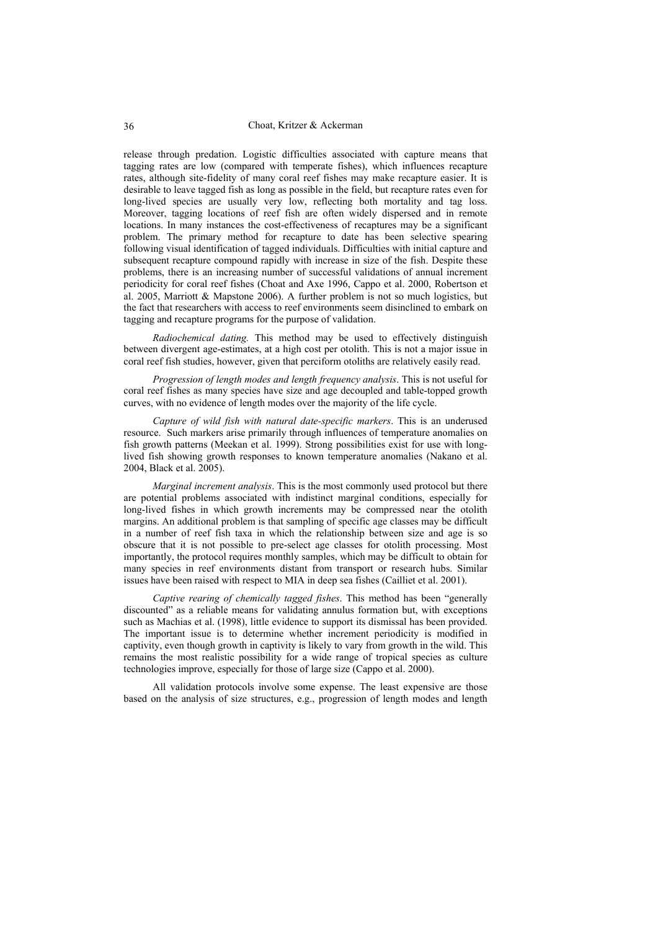release through predation. Logistic difficulties associated with capture means that tagging rates are low (compared with temperate fishes), which influences recapture rates, although site-fidelity of many coral reef fishes may make recapture easier. It is desirable to leave tagged fish as long as possible in the field, but recapture rates even for long-lived species are usually very low, reflecting both mortality and tag loss. Moreover, tagging locations of reef fish are often widely dispersed and in remote locations. In many instances the cost-effectiveness of recaptures may be a significant problem. The primary method for recapture to date has been selective spearing following visual identification of tagged individuals. Difficulties with initial capture and subsequent recapture compound rapidly with increase in size of the fish. Despite these problems, there is an increasing number of successful validations of annual increment periodicity for coral reef fishes (Choat and Axe 1996, Cappo et al. 2000, Robertson et al. 2005, Marriott & Mapstone 2006). A further problem is not so much logistics, but the fact that researchers with access to reef environments seem disinclined to embark on tagging and recapture programs for the purpose of validation.

*Radiochemical dating.* This method may be used to effectively distinguish between divergent age-estimates, at a high cost per otolith. This is not a major issue in coral reef fish studies, however, given that perciform otoliths are relatively easily read.

*Progression of length modes and length frequency analysis*. This is not useful for coral reef fishes as many species have size and age decoupled and table-topped growth curves, with no evidence of length modes over the majority of the life cycle.

*Capture of wild fish with natural date-specific markers*. This is an underused resource. Such markers arise primarily through influences of temperature anomalies on fish growth patterns (Meekan et al. 1999). Strong possibilities exist for use with longlived fish showing growth responses to known temperature anomalies (Nakano et al. 2004, Black et al. 2005).

*Marginal increment analysis*. This is the most commonly used protocol but there are potential problems associated with indistinct marginal conditions, especially for long-lived fishes in which growth increments may be compressed near the otolith margins. An additional problem is that sampling of specific age classes may be difficult in a number of reef fish taxa in which the relationship between size and age is so obscure that it is not possible to pre-select age classes for otolith processing. Most importantly, the protocol requires monthly samples, which may be difficult to obtain for many species in reef environments distant from transport or research hubs. Similar issues have been raised with respect to MIA in deep sea fishes (Cailliet et al. 2001).

*Captive rearing of chemically tagged fishes*. This method has been "generally discounted" as a reliable means for validating annulus formation but, with exceptions such as Machias et al. (1998), little evidence to support its dismissal has been provided. The important issue is to determine whether increment periodicity is modified in captivity, even though growth in captivity is likely to vary from growth in the wild. This remains the most realistic possibility for a wide range of tropical species as culture technologies improve, especially for those of large size (Cappo et al. 2000).

All validation protocols involve some expense. The least expensive are those based on the analysis of size structures, e.g., progression of length modes and length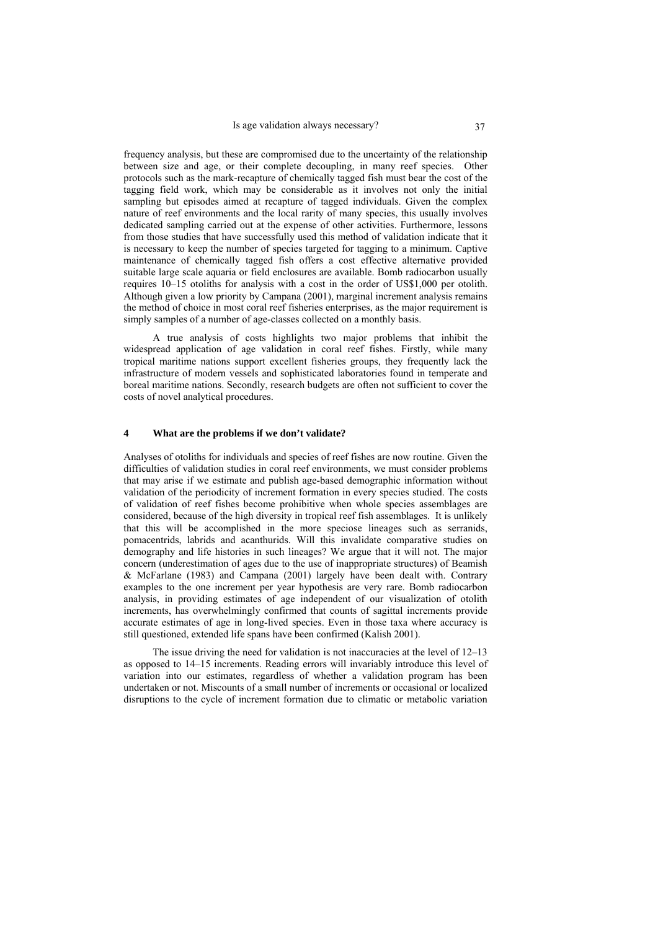frequency analysis, but these are compromised due to the uncertainty of the relationship between size and age, or their complete decoupling, in many reef species. Other protocols such as the mark-recapture of chemically tagged fish must bear the cost of the tagging field work, which may be considerable as it involves not only the initial sampling but episodes aimed at recapture of tagged individuals. Given the complex nature of reef environments and the local rarity of many species, this usually involves dedicated sampling carried out at the expense of other activities. Furthermore, lessons from those studies that have successfully used this method of validation indicate that it is necessary to keep the number of species targeted for tagging to a minimum. Captive maintenance of chemically tagged fish offers a cost effective alternative provided suitable large scale aquaria or field enclosures are available. Bomb radiocarbon usually requires 10–15 otoliths for analysis with a cost in the order of US\$1,000 per otolith. Although given a low priority by Campana (2001), marginal increment analysis remains the method of choice in most coral reef fisheries enterprises, as the major requirement is simply samples of a number of age-classes collected on a monthly basis.

A true analysis of costs highlights two major problems that inhibit the widespread application of age validation in coral reef fishes. Firstly, while many tropical maritime nations support excellent fisheries groups, they frequently lack the infrastructure of modern vessels and sophisticated laboratories found in temperate and boreal maritime nations. Secondly, research budgets are often not sufficient to cover the costs of novel analytical procedures.

# **4 What are the problems if we don't validate?**

Analyses of otoliths for individuals and species of reef fishes are now routine. Given the difficulties of validation studies in coral reef environments, we must consider problems that may arise if we estimate and publish age-based demographic information without validation of the periodicity of increment formation in every species studied. The costs of validation of reef fishes become prohibitive when whole species assemblages are considered, because of the high diversity in tropical reef fish assemblages. It is unlikely that this will be accomplished in the more speciose lineages such as serranids, pomacentrids, labrids and acanthurids. Will this invalidate comparative studies on demography and life histories in such lineages? We argue that it will not. The major concern (underestimation of ages due to the use of inappropriate structures) of Beamish & McFarlane (1983) and Campana (2001) largely have been dealt with. Contrary examples to the one increment per year hypothesis are very rare. Bomb radiocarbon analysis, in providing estimates of age independent of our visualization of otolith increments, has overwhelmingly confirmed that counts of sagittal increments provide accurate estimates of age in long-lived species. Even in those taxa where accuracy is still questioned, extended life spans have been confirmed (Kalish 2001).

The issue driving the need for validation is not inaccuracies at the level of 12–13 as opposed to 14–15 increments. Reading errors will invariably introduce this level of variation into our estimates, regardless of whether a validation program has been undertaken or not. Miscounts of a small number of increments or occasional or localized disruptions to the cycle of increment formation due to climatic or metabolic variation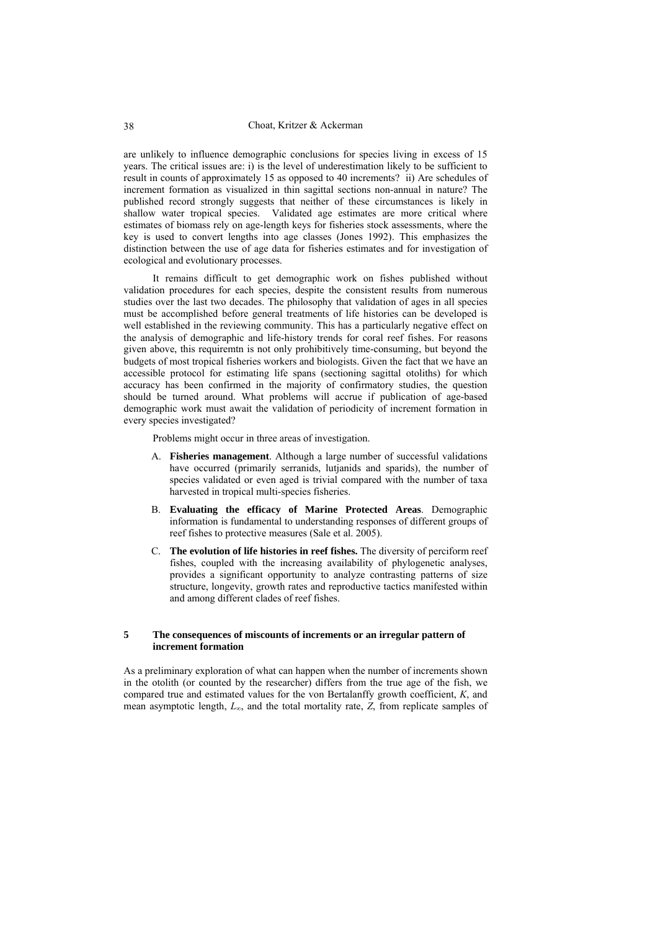are unlikely to influence demographic conclusions for species living in excess of 15 years. The critical issues are: i) is the level of underestimation likely to be sufficient to result in counts of approximately 15 as opposed to 40 increments? ii) Are schedules of increment formation as visualized in thin sagittal sections non-annual in nature? The published record strongly suggests that neither of these circumstances is likely in shallow water tropical species. Validated age estimates are more critical where estimates of biomass rely on age-length keys for fisheries stock assessments, where the key is used to convert lengths into age classes (Jones 1992). This emphasizes the distinction between the use of age data for fisheries estimates and for investigation of ecological and evolutionary processes.

It remains difficult to get demographic work on fishes published without validation procedures for each species, despite the consistent results from numerous studies over the last two decades. The philosophy that validation of ages in all species must be accomplished before general treatments of life histories can be developed is well established in the reviewing community. This has a particularly negative effect on the analysis of demographic and life-history trends for coral reef fishes. For reasons given above, this requiremtn is not only prohibitively time-consuming, but beyond the budgets of most tropical fisheries workers and biologists. Given the fact that we have an accessible protocol for estimating life spans (sectioning sagittal otoliths) for which accuracy has been confirmed in the majority of confirmatory studies, the question should be turned around. What problems will accrue if publication of age-based demographic work must await the validation of periodicity of increment formation in every species investigated?

Problems might occur in three areas of investigation.

- A. **Fisheries management**. Although a large number of successful validations have occurred (primarily serranids, lutjanids and sparids), the number of species validated or even aged is trivial compared with the number of taxa harvested in tropical multi-species fisheries.
- B. **Evaluating the efficacy of Marine Protected Areas**. Demographic information is fundamental to understanding responses of different groups of reef fishes to protective measures (Sale et al. 2005).
- C. **The evolution of life histories in reef fishes.** The diversity of perciform reef fishes, coupled with the increasing availability of phylogenetic analyses, provides a significant opportunity to analyze contrasting patterns of size structure, longevity, growth rates and reproductive tactics manifested within and among different clades of reef fishes.

### **5 The consequences of miscounts of increments or an irregular pattern of increment formation**

As a preliminary exploration of what can happen when the number of increments shown in the otolith (or counted by the researcher) differs from the true age of the fish, we compared true and estimated values for the von Bertalanffy growth coefficient, *K*, and mean asymptotic length, *L∞*, and the total mortality rate, *Z*, from replicate samples of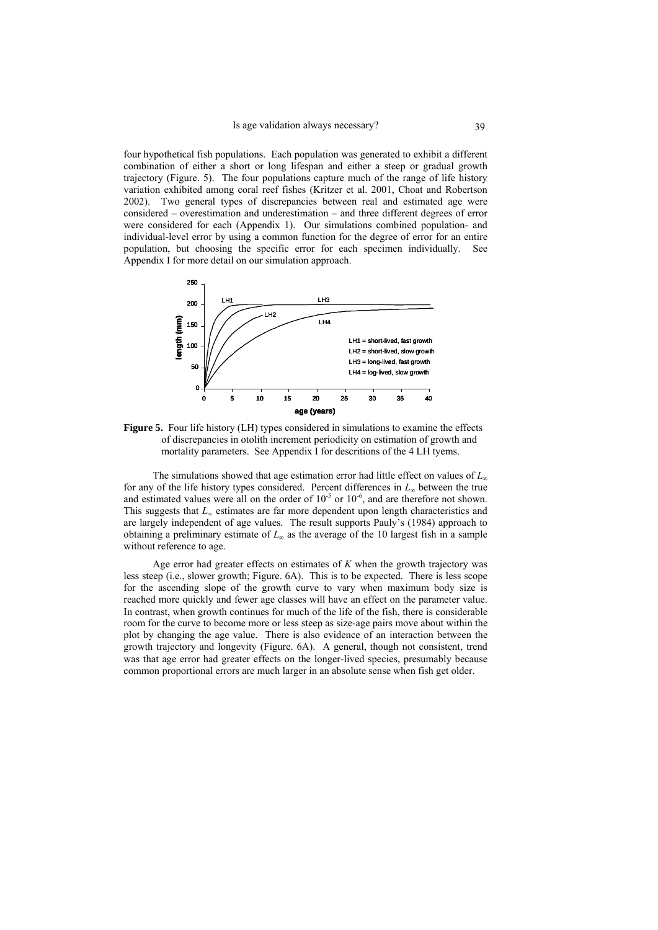four hypothetical fish populations. Each population was generated to exhibit a different combination of either a short or long lifespan and either a steep or gradual growth trajectory (Figure. 5). The four populations capture much of the range of life history variation exhibited among coral reef fishes (Kritzer et al. 2001, Choat and Robertson 2002). Two general types of discrepancies between real and estimated age were considered – overestimation and underestimation – and three different degrees of error were considered for each (Appendix 1). Our simulations combined population- and individual-level error by using a common function for the degree of error for an entire population, but choosing the specific error for each specimen individually. See Appendix I for more detail on our simulation approach.



**Figure 5.** Four life history (LH) types considered in simulations to examine the effects of discrepancies in otolith increment periodicity on estimation of growth and mortality parameters. See Appendix I for descritions of the 4 LH tyems.

The simulations showed that age estimation error had little effect on values of *L<sup>∞</sup>* for any of the life history types considered. Percent differences in *L∞* between the true and estimated values were all on the order of  $10^{-5}$  or  $10^{-6}$ , and are therefore not shown. This suggests that  $L_{\infty}$  estimates are far more dependent upon length characteristics and are largely independent of age values. The result supports Pauly's (1984) approach to obtaining a preliminary estimate of *L∞* as the average of the 10 largest fish in a sample without reference to age.

Age error had greater effects on estimates of *K* when the growth trajectory was less steep (i.e., slower growth; Figure. 6A). This is to be expected. There is less scope for the ascending slope of the growth curve to vary when maximum body size is reached more quickly and fewer age classes will have an effect on the parameter value. In contrast, when growth continues for much of the life of the fish, there is considerable room for the curve to become more or less steep as size-age pairs move about within the plot by changing the age value. There is also evidence of an interaction between the growth trajectory and longevity (Figure. 6A). A general, though not consistent, trend was that age error had greater effects on the longer-lived species, presumably because common proportional errors are much larger in an absolute sense when fish get older.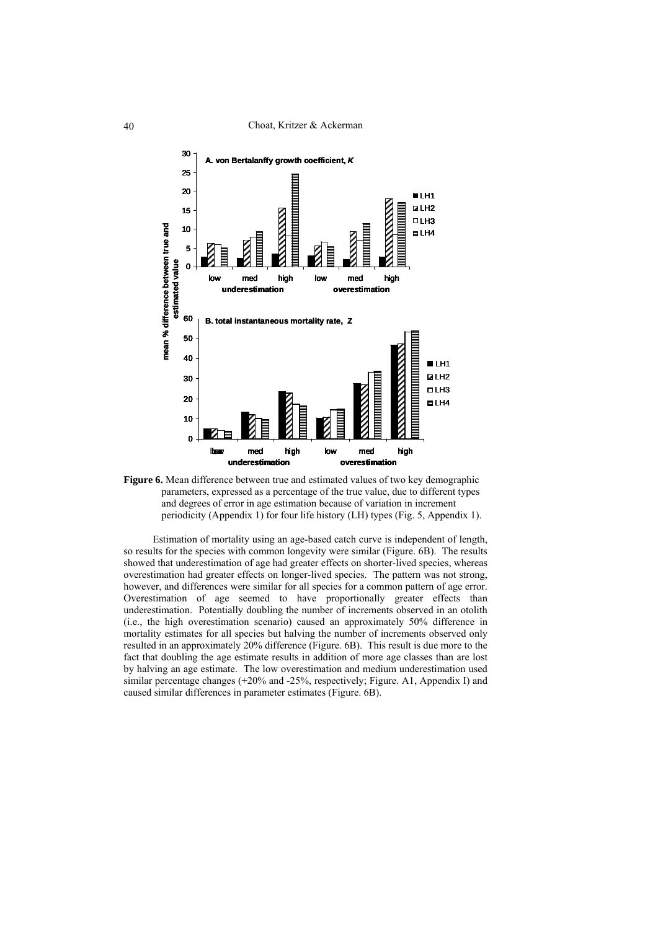



Estimation of mortality using an age-based catch curve is independent of length, so results for the species with common longevity were similar (Figure. 6B). The results showed that underestimation of age had greater effects on shorter-lived species, whereas overestimation had greater effects on longer-lived species. The pattern was not strong, however, and differences were similar for all species for a common pattern of age error. Overestimation of age seemed to have proportionally greater effects than underestimation. Potentially doubling the number of increments observed in an otolith (i.e., the high overestimation scenario) caused an approximately 50% difference in mortality estimates for all species but halving the number of increments observed only resulted in an approximately 20% difference (Figure. 6B). This result is due more to the fact that doubling the age estimate results in addition of more age classes than are lost by halving an age estimate. The low overestimation and medium underestimation used similar percentage changes (+20% and -25%, respectively; Figure. A1, Appendix I) and caused similar differences in parameter estimates (Figure. 6B).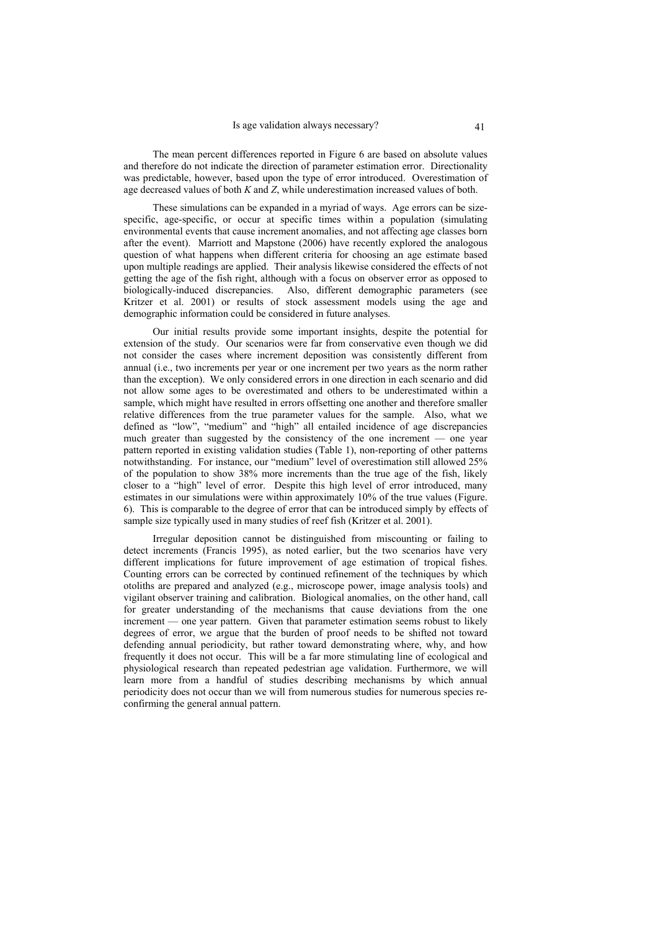The mean percent differences reported in Figure 6 are based on absolute values and therefore do not indicate the direction of parameter estimation error. Directionality was predictable, however, based upon the type of error introduced. Overestimation of age decreased values of both *K* and *Z*, while underestimation increased values of both.

These simulations can be expanded in a myriad of ways. Age errors can be sizespecific, age-specific, or occur at specific times within a population (simulating environmental events that cause increment anomalies, and not affecting age classes born after the event). Marriott and Mapstone (2006) have recently explored the analogous question of what happens when different criteria for choosing an age estimate based upon multiple readings are applied. Their analysis likewise considered the effects of not getting the age of the fish right, although with a focus on observer error as opposed to biologically-induced discrepancies. Also, different demographic parameters (see Kritzer et al. 2001) or results of stock assessment models using the age and demographic information could be considered in future analyses.

Our initial results provide some important insights, despite the potential for extension of the study. Our scenarios were far from conservative even though we did not consider the cases where increment deposition was consistently different from annual (i.e., two increments per year or one increment per two years as the norm rather than the exception). We only considered errors in one direction in each scenario and did not allow some ages to be overestimated and others to be underestimated within a sample, which might have resulted in errors offsetting one another and therefore smaller relative differences from the true parameter values for the sample. Also, what we defined as "low", "medium" and "high" all entailed incidence of age discrepancies much greater than suggested by the consistency of the one increment — one year pattern reported in existing validation studies (Table 1), non-reporting of other patterns notwithstanding. For instance, our "medium" level of overestimation still allowed 25% of the population to show 38% more increments than the true age of the fish, likely closer to a "high" level of error. Despite this high level of error introduced, many estimates in our simulations were within approximately 10% of the true values (Figure. 6). This is comparable to the degree of error that can be introduced simply by effects of sample size typically used in many studies of reef fish (Kritzer et al. 2001).

Irregular deposition cannot be distinguished from miscounting or failing to detect increments (Francis 1995), as noted earlier, but the two scenarios have very different implications for future improvement of age estimation of tropical fishes. Counting errors can be corrected by continued refinement of the techniques by which otoliths are prepared and analyzed (e.g., microscope power, image analysis tools) and vigilant observer training and calibration. Biological anomalies, on the other hand, call for greater understanding of the mechanisms that cause deviations from the one increment — one year pattern. Given that parameter estimation seems robust to likely degrees of error, we argue that the burden of proof needs to be shifted not toward defending annual periodicity, but rather toward demonstrating where, why, and how frequently it does not occur. This will be a far more stimulating line of ecological and physiological research than repeated pedestrian age validation. Furthermore, we will learn more from a handful of studies describing mechanisms by which annual periodicity does not occur than we will from numerous studies for numerous species reconfirming the general annual pattern.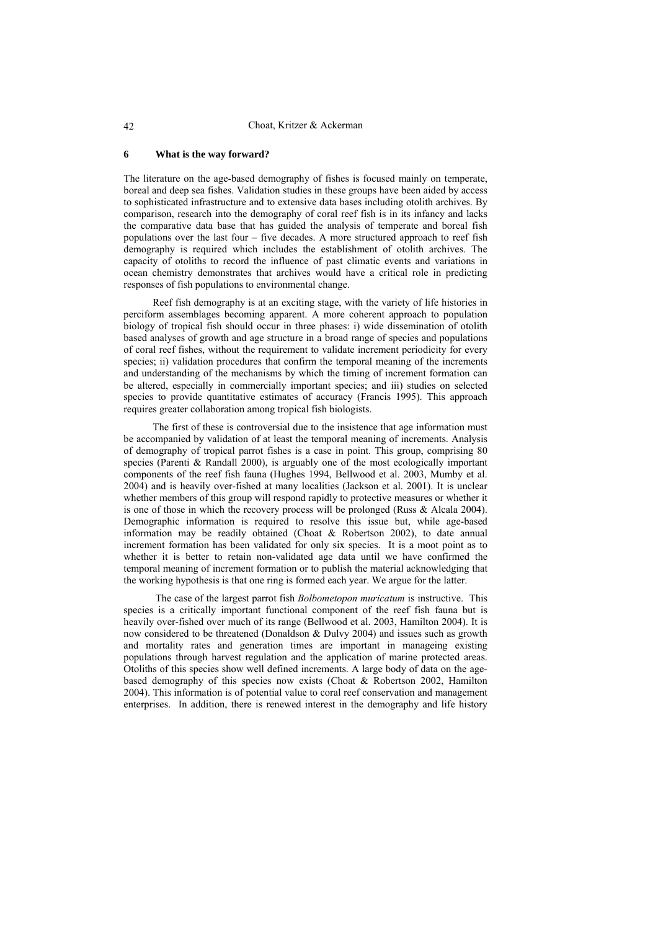#### **6 What is the way forward?**

The literature on the age-based demography of fishes is focused mainly on temperate, boreal and deep sea fishes. Validation studies in these groups have been aided by access to sophisticated infrastructure and to extensive data bases including otolith archives. By comparison, research into the demography of coral reef fish is in its infancy and lacks the comparative data base that has guided the analysis of temperate and boreal fish populations over the last four – five decades. A more structured approach to reef fish demography is required which includes the establishment of otolith archives. The capacity of otoliths to record the influence of past climatic events and variations in ocean chemistry demonstrates that archives would have a critical role in predicting responses of fish populations to environmental change.

Reef fish demography is at an exciting stage, with the variety of life histories in perciform assemblages becoming apparent. A more coherent approach to population biology of tropical fish should occur in three phases: i) wide dissemination of otolith based analyses of growth and age structure in a broad range of species and populations of coral reef fishes, without the requirement to validate increment periodicity for every species; ii) validation procedures that confirm the temporal meaning of the increments and understanding of the mechanisms by which the timing of increment formation can be altered, especially in commercially important species; and iii) studies on selected species to provide quantitative estimates of accuracy (Francis 1995). This approach requires greater collaboration among tropical fish biologists.

The first of these is controversial due to the insistence that age information must be accompanied by validation of at least the temporal meaning of increments. Analysis of demography of tropical parrot fishes is a case in point. This group, comprising 80 species (Parenti & Randall 2000), is arguably one of the most ecologically important components of the reef fish fauna (Hughes 1994, Bellwood et al. 2003, Mumby et al. 2004) and is heavily over-fished at many localities (Jackson et al. 2001). It is unclear whether members of this group will respond rapidly to protective measures or whether it is one of those in which the recovery process will be prolonged (Russ & Alcala 2004). Demographic information is required to resolve this issue but, while age-based information may be readily obtained (Choat & Robertson 2002), to date annual increment formation has been validated for only six species. It is a moot point as to whether it is better to retain non-validated age data until we have confirmed the temporal meaning of increment formation or to publish the material acknowledging that the working hypothesis is that one ring is formed each year. We argue for the latter.

 The case of the largest parrot fish *Bolbometopon muricatum* is instructive. This species is a critically important functional component of the reef fish fauna but is heavily over-fished over much of its range (Bellwood et al. 2003, Hamilton 2004). It is now considered to be threatened (Donaldson & Dulvy 2004) and issues such as growth and mortality rates and generation times are important in manageing existing populations through harvest regulation and the application of marine protected areas. Otoliths of this species show well defined increments. A large body of data on the agebased demography of this species now exists (Choat & Robertson 2002, Hamilton 2004). This information is of potential value to coral reef conservation and management enterprises. In addition, there is renewed interest in the demography and life history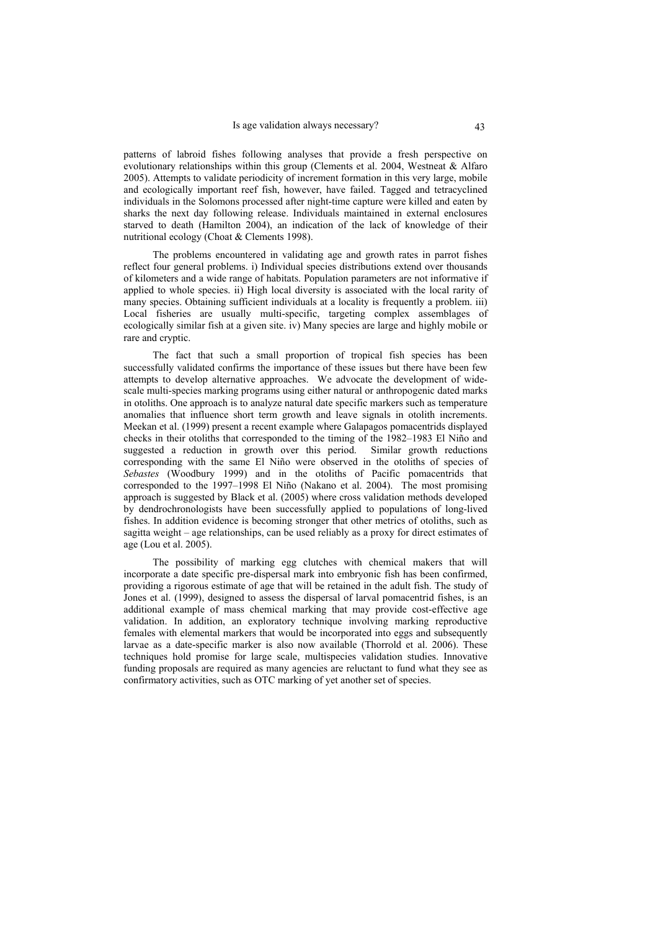patterns of labroid fishes following analyses that provide a fresh perspective on evolutionary relationships within this group (Clements et al. 2004, Westneat & Alfaro 2005). Attempts to validate periodicity of increment formation in this very large, mobile and ecologically important reef fish, however, have failed. Tagged and tetracyclined individuals in the Solomons processed after night-time capture were killed and eaten by sharks the next day following release. Individuals maintained in external enclosures starved to death (Hamilton 2004), an indication of the lack of knowledge of their nutritional ecology (Choat & Clements 1998).

The problems encountered in validating age and growth rates in parrot fishes reflect four general problems. i) Individual species distributions extend over thousands of kilometers and a wide range of habitats. Population parameters are not informative if applied to whole species. ii) High local diversity is associated with the local rarity of many species. Obtaining sufficient individuals at a locality is frequently a problem. iii) Local fisheries are usually multi-specific, targeting complex assemblages of ecologically similar fish at a given site. iv) Many species are large and highly mobile or rare and cryptic.

The fact that such a small proportion of tropical fish species has been successfully validated confirms the importance of these issues but there have been few attempts to develop alternative approaches. We advocate the development of widescale multi-species marking programs using either natural or anthropogenic dated marks in otoliths. One approach is to analyze natural date specific markers such as temperature anomalies that influence short term growth and leave signals in otolith increments. Meekan et al. (1999) present a recent example where Galapagos pomacentrids displayed checks in their otoliths that corresponded to the timing of the 1982–1983 El Niño and suggested a reduction in growth over this period. Similar growth reductions corresponding with the same El Niño were observed in the otoliths of species of *Sebastes* (Woodbury 1999) and in the otoliths of Pacific pomacentrids that corresponded to the 1997–1998 El Niño (Nakano et al. 2004). The most promising approach is suggested by Black et al. (2005) where cross validation methods developed by dendrochronologists have been successfully applied to populations of long-lived fishes. In addition evidence is becoming stronger that other metrics of otoliths, such as sagitta weight – age relationships, can be used reliably as a proxy for direct estimates of age (Lou et al. 2005).

The possibility of marking egg clutches with chemical makers that will incorporate a date specific pre-dispersal mark into embryonic fish has been confirmed, providing a rigorous estimate of age that will be retained in the adult fish. The study of Jones et al. (1999), designed to assess the dispersal of larval pomacentrid fishes, is an additional example of mass chemical marking that may provide cost-effective age validation. In addition, an exploratory technique involving marking reproductive females with elemental markers that would be incorporated into eggs and subsequently larvae as a date-specific marker is also now available (Thorrold et al. 2006). These techniques hold promise for large scale, multispecies validation studies. Innovative funding proposals are required as many agencies are reluctant to fund what they see as confirmatory activities, such as OTC marking of yet another set of species.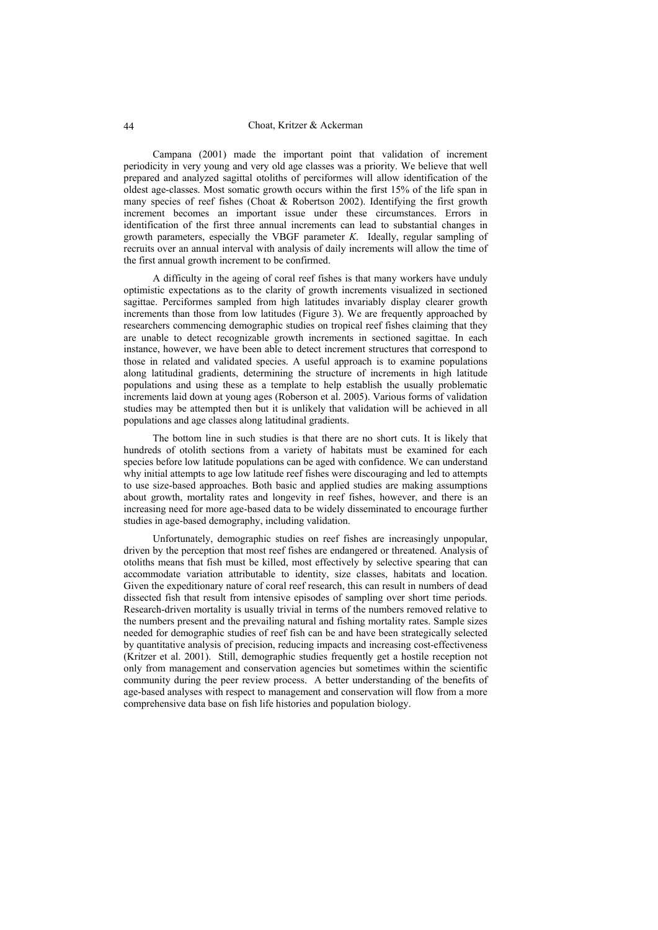Campana (2001) made the important point that validation of increment periodicity in very young and very old age classes was a priority. We believe that well prepared and analyzed sagittal otoliths of perciformes will allow identification of the oldest age-classes. Most somatic growth occurs within the first 15% of the life span in many species of reef fishes (Choat & Robertson 2002). Identifying the first growth increment becomes an important issue under these circumstances. Errors in identification of the first three annual increments can lead to substantial changes in growth parameters, especially the VBGF parameter *K*. Ideally, regular sampling of recruits over an annual interval with analysis of daily increments will allow the time of the first annual growth increment to be confirmed.

A difficulty in the ageing of coral reef fishes is that many workers have unduly optimistic expectations as to the clarity of growth increments visualized in sectioned sagittae. Perciformes sampled from high latitudes invariably display clearer growth increments than those from low latitudes (Figure 3). We are frequently approached by researchers commencing demographic studies on tropical reef fishes claiming that they are unable to detect recognizable growth increments in sectioned sagittae. In each instance, however, we have been able to detect increment structures that correspond to those in related and validated species. A useful approach is to examine populations along latitudinal gradients, determining the structure of increments in high latitude populations and using these as a template to help establish the usually problematic increments laid down at young ages (Roberson et al. 2005). Various forms of validation studies may be attempted then but it is unlikely that validation will be achieved in all populations and age classes along latitudinal gradients.

The bottom line in such studies is that there are no short cuts. It is likely that hundreds of otolith sections from a variety of habitats must be examined for each species before low latitude populations can be aged with confidence. We can understand why initial attempts to age low latitude reef fishes were discouraging and led to attempts to use size-based approaches. Both basic and applied studies are making assumptions about growth, mortality rates and longevity in reef fishes, however, and there is an increasing need for more age-based data to be widely disseminated to encourage further studies in age-based demography, including validation.

Unfortunately, demographic studies on reef fishes are increasingly unpopular, driven by the perception that most reef fishes are endangered or threatened. Analysis of otoliths means that fish must be killed, most effectively by selective spearing that can accommodate variation attributable to identity, size classes, habitats and location. Given the expeditionary nature of coral reef research, this can result in numbers of dead dissected fish that result from intensive episodes of sampling over short time periods. Research-driven mortality is usually trivial in terms of the numbers removed relative to the numbers present and the prevailing natural and fishing mortality rates. Sample sizes needed for demographic studies of reef fish can be and have been strategically selected by quantitative analysis of precision, reducing impacts and increasing cost-effectiveness (Kritzer et al. 2001). Still, demographic studies frequently get a hostile reception not only from management and conservation agencies but sometimes within the scientific community during the peer review process. A better understanding of the benefits of age-based analyses with respect to management and conservation will flow from a more comprehensive data base on fish life histories and population biology.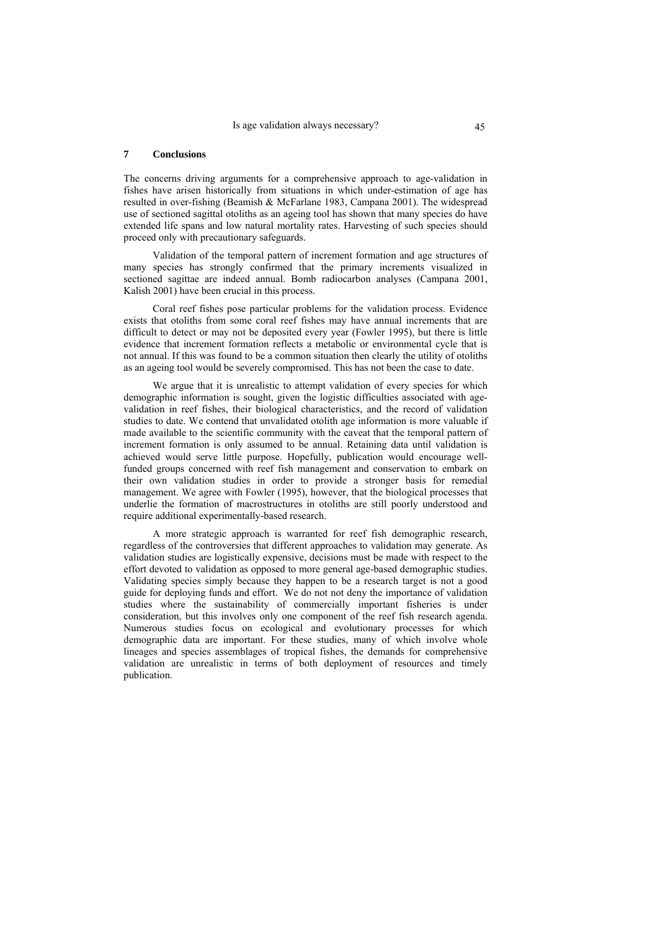#### **7 Conclusions**

The concerns driving arguments for a comprehensive approach to age-validation in fishes have arisen historically from situations in which under-estimation of age has resulted in over-fishing (Beamish & McFarlane 1983, Campana 2001). The widespread use of sectioned sagittal otoliths as an ageing tool has shown that many species do have extended life spans and low natural mortality rates. Harvesting of such species should proceed only with precautionary safeguards.

Validation of the temporal pattern of increment formation and age structures of many species has strongly confirmed that the primary increments visualized in sectioned sagittae are indeed annual. Bomb radiocarbon analyses (Campana 2001, Kalish 2001) have been crucial in this process.

Coral reef fishes pose particular problems for the validation process. Evidence exists that otoliths from some coral reef fishes may have annual increments that are difficult to detect or may not be deposited every year (Fowler 1995), but there is little evidence that increment formation reflects a metabolic or environmental cycle that is not annual. If this was found to be a common situation then clearly the utility of otoliths as an ageing tool would be severely compromised. This has not been the case to date.

We argue that it is unrealistic to attempt validation of every species for which demographic information is sought, given the logistic difficulties associated with agevalidation in reef fishes, their biological characteristics, and the record of validation studies to date. We contend that unvalidated otolith age information is more valuable if made available to the scientific community with the caveat that the temporal pattern of increment formation is only assumed to be annual. Retaining data until validation is achieved would serve little purpose. Hopefully, publication would encourage wellfunded groups concerned with reef fish management and conservation to embark on their own validation studies in order to provide a stronger basis for remedial management. We agree with Fowler (1995), however, that the biological processes that underlie the formation of macrostructures in otoliths are still poorly understood and require additional experimentally-based research.

A more strategic approach is warranted for reef fish demographic research, regardless of the controversies that different approaches to validation may generate. As validation studies are logistically expensive, decisions must be made with respect to the effort devoted to validation as opposed to more general age-based demographic studies. Validating species simply because they happen to be a research target is not a good guide for deploying funds and effort. We do not not deny the importance of validation studies where the sustainability of commercially important fisheries is under consideration, but this involves only one component of the reef fish research agenda. Numerous studies focus on ecological and evolutionary processes for which demographic data are important. For these studies, many of which involve whole lineages and species assemblages of tropical fishes, the demands for comprehensive validation are unrealistic in terms of both deployment of resources and timely publication.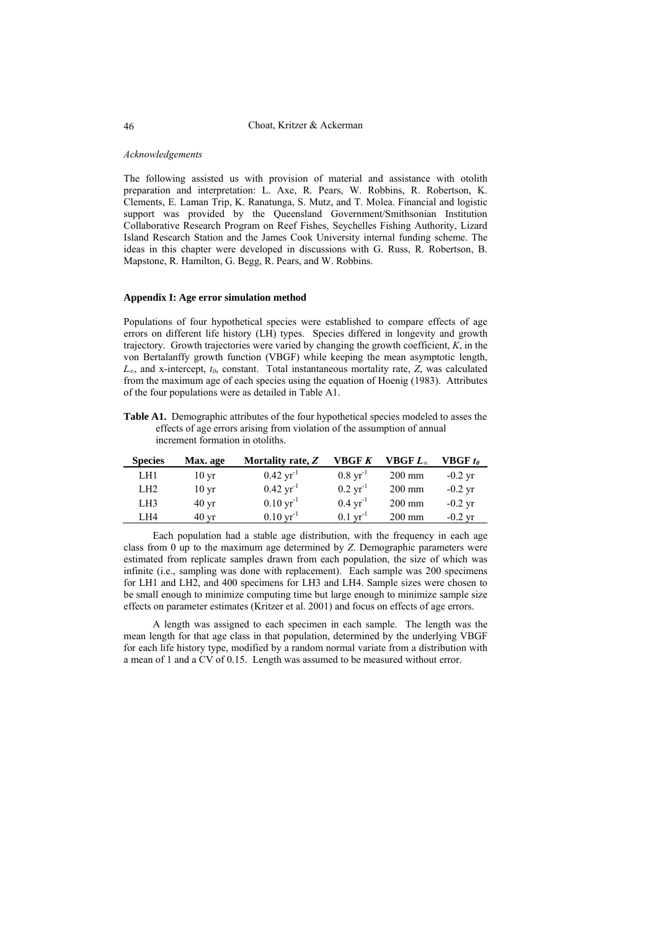#### *Acknowledgements*

The following assisted us with provision of material and assistance with otolith preparation and interpretation: L. Axe, R. Pears, W. Robbins, R. Robertson, K. Clements, E. Laman Trip, K. Ranatunga, S. Mutz, and T. Molea. Financial and logistic support was provided by the Queensland Government/Smithsonian Institution Collaborative Research Program on Reef Fishes, Seychelles Fishing Authority, Lizard Island Research Station and the James Cook University internal funding scheme. The ideas in this chapter were developed in discussions with G. Russ, R. Robertson, B. Mapstone, R. Hamilton, G. Begg, R. Pears, and W. Robbins.

# **Appendix I: Age error simulation method**

Populations of four hypothetical species were established to compare effects of age errors on different life history (LH) types. Species differed in longevity and growth trajectory. Growth trajectories were varied by changing the growth coefficient, *K*, in the von Bertalanffy growth function (VBGF) while keeping the mean asymptotic length, *L*<sub>∞</sub>, and x-intercept, *t*<sub>0</sub>, constant. Total instantaneous mortality rate, *Z*, was calculated from the maximum age of each species using the equation of Hoenig (1983). Attributes of the four populations were as detailed in Table A1.

**Table A1.** Demographic attributes of the four hypothetical species modeled to asses the effects of age errors arising from violation of the assumption of annual increment formation in otoliths.

| <b>Species</b> | Max. age           | Mortality rate, Z      | VBGF K                | VBGF $L_{\infty}$ | $VBGF t_0$ |
|----------------|--------------------|------------------------|-----------------------|-------------------|------------|
| LH1            | $10 \text{ yr}$    | $0.42 \text{ yr}^{-1}$ | $0.8 \text{ yr}^{-1}$ | $200 \text{ mm}$  | $-0.2$ yr  |
| LH2            | $10 \,\mathrm{vr}$ | $0.42 \text{ yr}^{-1}$ | $0.2 \text{ yr}^{-1}$ | $200 \text{ mm}$  | $-0.2$ yr  |
| LH3            | $40 \,\mathrm{yr}$ | $0.10 \text{ yr}^{-1}$ | $0.4 \text{ yr}^{-1}$ | $200 \text{ mm}$  | $-0.2$ yr  |
| LH4            | $40 \,\text{yr}$   | $0.10 \text{ yr}^{-1}$ | $0.1 \text{ yr}^{-1}$ | $200 \text{ mm}$  | $-0.2$ yr  |

Each population had a stable age distribution, with the frequency in each age class from 0 up to the maximum age determined by *Z*. Demographic parameters were estimated from replicate samples drawn from each population, the size of which was infinite (i.e., sampling was done with replacement). Each sample was 200 specimens for LH1 and LH2, and 400 specimens for LH3 and LH4. Sample sizes were chosen to be small enough to minimize computing time but large enough to minimize sample size effects on parameter estimates (Kritzer et al. 2001) and focus on effects of age errors.

A length was assigned to each specimen in each sample. The length was the mean length for that age class in that population, determined by the underlying VBGF for each life history type, modified by a random normal variate from a distribution with a mean of 1 and a CV of 0.15. Length was assumed to be measured without error.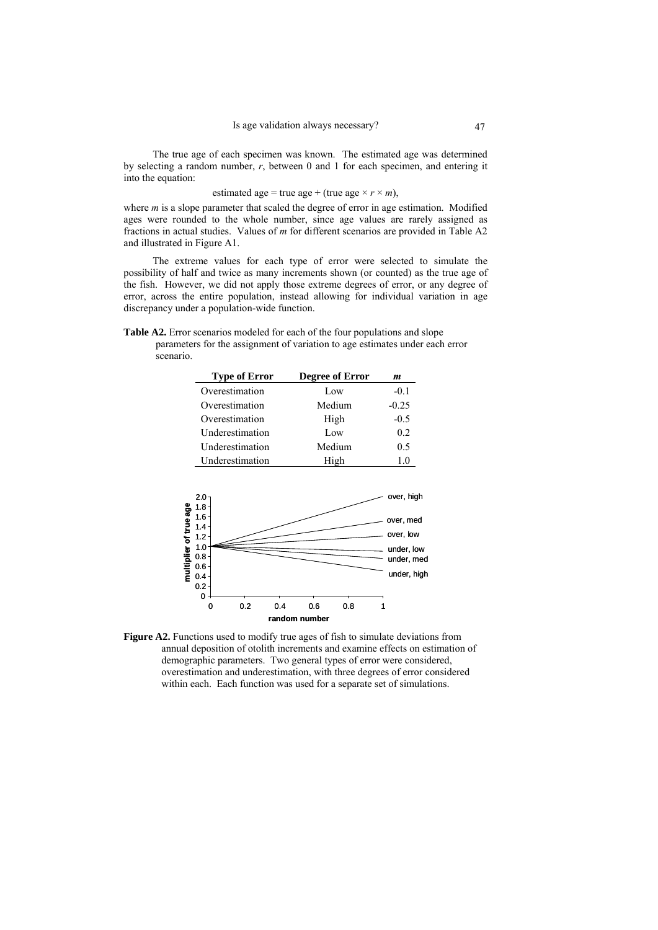The true age of each specimen was known. The estimated age was determined by selecting a random number, *r*, between 0 and 1 for each specimen, and entering it into the equation:

estimated age = true age + (true age  $\times r \times m$ ),

where *m* is a slope parameter that scaled the degree of error in age estimation. Modified ages were rounded to the whole number, since age values are rarely assigned as fractions in actual studies. Values of *m* for different scenarios are provided in Table A2 and illustrated in Figure A1.

The extreme values for each type of error were selected to simulate the possibility of half and twice as many increments shown (or counted) as the true age of the fish. However, we did not apply those extreme degrees of error, or any degree of error, across the entire population, instead allowing for individual variation in age discrepancy under a population-wide function.

**Table A2.** Error scenarios modeled for each of the four populations and slope parameters for the assignment of variation to age estimates under each error scenario.

l,

| <b>Type of Error</b> | Degree of Error | m          |
|----------------------|-----------------|------------|
| Overestimation       | Low             | $-0.1$     |
| Overestimation       | Medium          | $-0.25$    |
| Overestimation       | High            | $-0.5$     |
| Underestimation      | Low             | 0.2        |
| Underestimation      | Medium          | 0.5        |
| Underestimation      | High            | 1.0        |
|                      |                 |            |
| 20                   |                 | over, high |



**Figure A2.** Functions used to modify true ages of fish to simulate deviations from annual deposition of otolith increments and examine effects on estimation of demographic parameters. Two general types of error were considered, overestimation and underestimation, with three degrees of error considered within each. Each function was used for a separate set of simulations.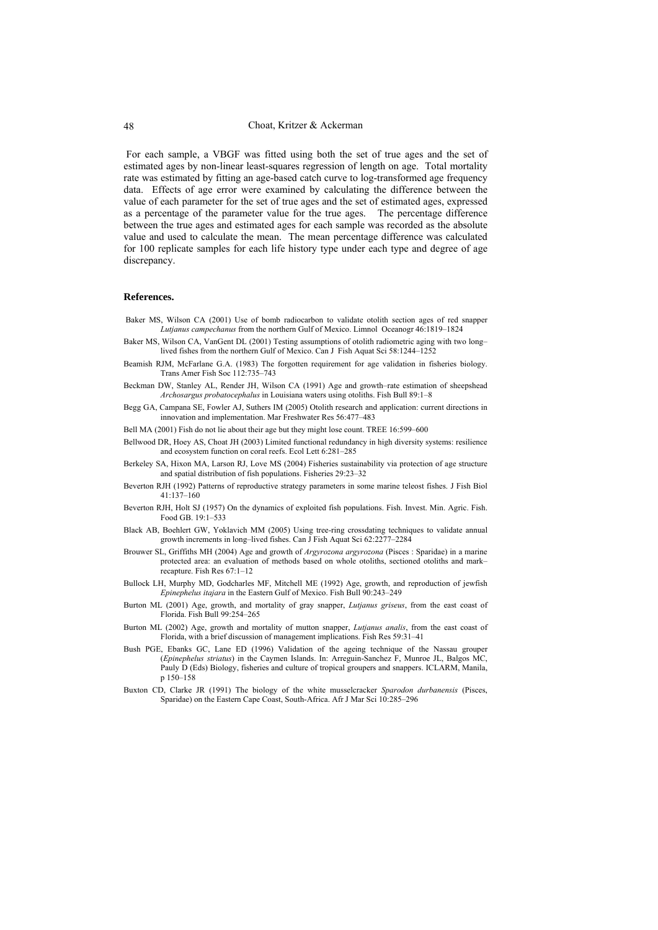For each sample, a VBGF was fitted using both the set of true ages and the set of estimated ages by non-linear least-squares regression of length on age. Total mortality rate was estimated by fitting an age-based catch curve to log-transformed age frequency data. Effects of age error were examined by calculating the difference between the value of each parameter for the set of true ages and the set of estimated ages, expressed as a percentage of the parameter value for the true ages. The percentage difference between the true ages and estimated ages for each sample was recorded as the absolute value and used to calculate the mean. The mean percentage difference was calculated for 100 replicate samples for each life history type under each type and degree of age discrepancy.

#### **References.**

- Baker MS, Wilson CA (2001) Use of bomb radiocarbon to validate otolith section ages of red snapper *Lutjanus campechanus* from the northern Gulf of Mexico. Limnol Oceanogr 46:1819–1824
- Baker MS, Wilson CA, VanGent DL (2001) Testing assumptions of otolith radiometric aging with two long– lived fishes from the northern Gulf of Mexico. Can J Fish Aquat Sci 58:1244–1252
- Beamish RJM, McFarlane G.A. (1983) The forgotten requirement for age validation in fisheries biology. Trans Amer Fish Soc 112:735–743
- Beckman DW, Stanley AL, Render JH, Wilson CA (1991) Age and growth–rate estimation of sheepshead *Archosargus probatocephalus* in Louisiana waters using otoliths. Fish Bull 89:1–8
- Begg GA, Campana SE, Fowler AJ, Suthers IM (2005) Otolith research and application: current directions in innovation and implementation. Mar Freshwater Res 56:477–483
- Bell MA (2001) Fish do not lie about their age but they might lose count. TREE 16:599–600
- Bellwood DR, Hoey AS, Choat JH (2003) Limited functional redundancy in high diversity systems: resilience and ecosystem function on coral reefs. Ecol Lett 6:281–285
- Berkeley SA, Hixon MA, Larson RJ, Love MS (2004) Fisheries sustainability via protection of age structure and spatial distribution of fish populations. Fisheries 29:23–32
- Beverton RJH (1992) Patterns of reproductive strategy parameters in some marine teleost fishes. J Fish Biol 41:137–160
- Beverton RJH, Holt SJ (1957) On the dynamics of exploited fish populations. Fish. Invest. Min. Agric. Fish. Food GB. 19:1–533
- Black AB, Boehlert GW, Yoklavich MM (2005) Using tree-ring crossdating techniques to validate annual growth increments in long–lived fishes. Can J Fish Aquat Sci 62:2277–2284
- Brouwer SL, Griffiths MH (2004) Age and growth of *Argyrozona argyrozona* (Pisces : Sparidae) in a marine protected area: an evaluation of methods based on whole otoliths, sectioned otoliths and mark– recapture. Fish Res 67:1–12
- Bullock LH, Murphy MD, Godcharles MF, Mitchell ME (1992) Age, growth, and reproduction of jewfish *Epinephelus itajara* in the Eastern Gulf of Mexico. Fish Bull 90:243–249
- Burton ML (2001) Age, growth, and mortality of gray snapper, *Lutjanus griseus*, from the east coast of Florida. Fish Bull 99:254–265
- Burton ML (2002) Age, growth and mortality of mutton snapper, *Lutjanus analis*, from the east coast of Florida, with a brief discussion of management implications. Fish Res 59:31–41
- Bush PGE, Ebanks GC, Lane ED (1996) Validation of the ageing technique of the Nassau grouper (*Epinephelus striatus*) in the Caymen Islands. In: Arreguin-Sanchez F, Munroe JL, Balgos MC, Pauly D (Eds) Biology, fisheries and culture of tropical groupers and snappers. ICLARM, Manila, p 150–158
- Buxton CD, Clarke JR (1991) The biology of the white musselcracker *Sparodon durbanensis* (Pisces, Sparidae) on the Eastern Cape Coast, South-Africa. Afr J Mar Sci 10:285–296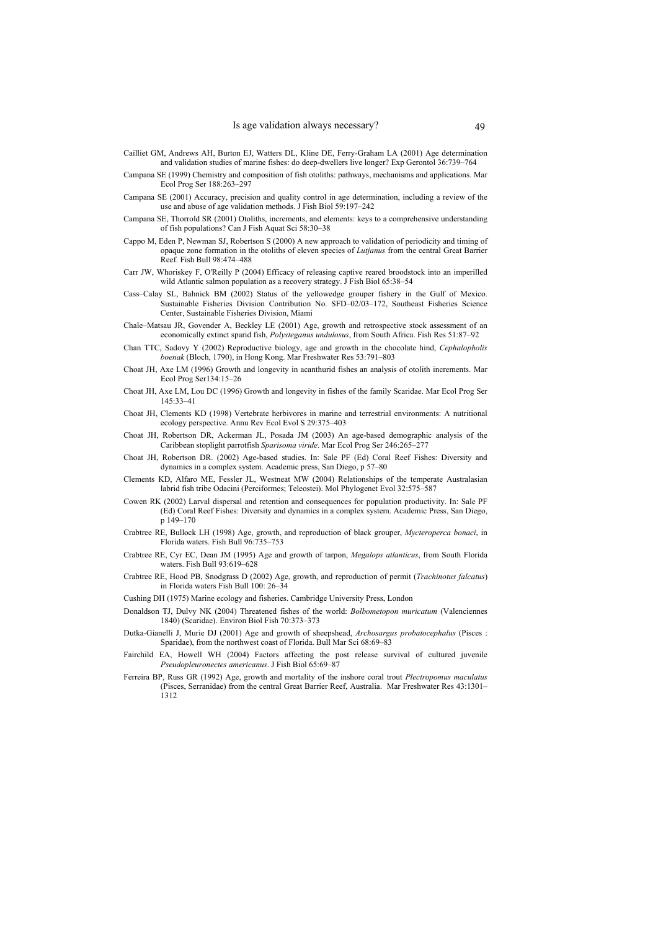- Cailliet GM, Andrews AH, Burton EJ, Watters DL, Kline DE, Ferry-Graham LA (2001) Age determination and validation studies of marine fishes: do deep-dwellers live longer? Exp Gerontol 36:739–764
- Campana SE (1999) Chemistry and composition of fish otoliths: pathways, mechanisms and applications. Mar Ecol Prog Ser 188:263–297
- Campana SE (2001) Accuracy, precision and quality control in age determination, including a review of the use and abuse of age validation methods. J Fish Biol 59:197–242
- Campana SE, Thorrold SR (2001) Otoliths, increments, and elements: keys to a comprehensive understanding of fish populations? Can J Fish Aquat Sci 58:30–38
- Cappo M, Eden P, Newman SJ, Robertson S (2000) A new approach to validation of periodicity and timing of opaque zone formation in the otoliths of eleven species of *Lutjanus* from the central Great Barrier Reef. Fish Bull 98:474–488
- Carr JW, Whoriskey F, O'Reilly P (2004) Efficacy of releasing captive reared broodstock into an imperilled wild Atlantic salmon population as a recovery strategy. J Fish Biol 65:38–54
- Cass–Calay SL, Bahnick BM (2002) Status of the yellowedge grouper fishery in the Gulf of Mexico. Sustainable Fisheries Division Contribution No. SFD–02/03–172, Southeast Fisheries Science Center, Sustainable Fisheries Division, Miami
- Chale–Matsau JR, Govender A, Beckley LE (2001) Age, growth and retrospective stock assessment of an economically extinct sparid fish, *Polysteganus undulosus*, from South Africa. Fish Res 51:87–92
- Chan TTC, Sadovy Y (2002) Reproductive biology, age and growth in the chocolate hind, *Cephalopholis boenak* (Bloch, 1790), in Hong Kong. Mar Freshwater Res 53:791–803
- Choat JH, Axe LM (1996) Growth and longevity in acanthurid fishes an analysis of otolith increments. Mar Ecol Prog Ser134:15–26
- Choat JH, Axe LM, Lou DC (1996) Growth and longevity in fishes of the family Scaridae. Mar Ecol Prog Ser 145:33–41
- Choat JH, Clements KD (1998) Vertebrate herbivores in marine and terrestrial environments: A nutritional ecology perspective. Annu Rev Ecol Evol S 29:375–403
- Choat JH, Robertson DR, Ackerman JL, Posada JM (2003) An age-based demographic analysis of the Caribbean stoplight parrotfish *Sparisoma viride*. Mar Ecol Prog Ser 246:265–277
- Choat JH, Robertson DR. (2002) Age-based studies. In: Sale PF (Ed) Coral Reef Fishes: Diversity and dynamics in a complex system. Academic press, San Diego, p 57–80
- Clements KD, Alfaro ME, Fessler JL, Westneat MW (2004) Relationships of the temperate Australasian labrid fish tribe Odacini (Perciformes; Teleostei). Mol Phylogenet Evol 32:575–587
- Cowen RK (2002) Larval dispersal and retention and consequences for population productivity. In: Sale PF (Ed) Coral Reef Fishes: Diversity and dynamics in a complex system. Academic Press, San Diego, p 149–170
- Crabtree RE, Bullock LH (1998) Age, growth, and reproduction of black grouper, *Mycteroperca bonaci*, in Florida waters. Fish Bull 96:735–753
- Crabtree RE, Cyr EC, Dean JM (1995) Age and growth of tarpon, *Megalops atlanticus*, from South Florida waters. Fish Bull 93:619–628
- Crabtree RE, Hood PB, Snodgrass D (2002) Age, growth, and reproduction of permit (*Trachinotus falcatus*) in Florida waters Fish Bull 100: 26–34
- Cushing DH (1975) Marine ecology and fisheries. Cambridge University Press, London
- Donaldson TJ, Dulvy NK (2004) Threatened fishes of the world: *Bolbometopon muricatum* (Valenciennes 1840) (Scaridae). Environ Biol Fish 70:373–373
- Dutka-Gianelli J, Murie DJ (2001) Age and growth of sheepshead, *Archosargus probatocephalus* (Pisces : Sparidae), from the northwest coast of Florida. Bull Mar Sci 68:69–83
- Fairchild EA, Howell WH (2004) Factors affecting the post release survival of cultured juvenile *Pseudopleuronectes americanus*. J Fish Biol 65:69–87
- Ferreira BP, Russ GR (1992) Age, growth and mortality of the inshore coral trout *Plectropomus maculatus* (Pisces, Serranidae) from the central Great Barrier Reef, Australia. Mar Freshwater Res 43:1301– 1312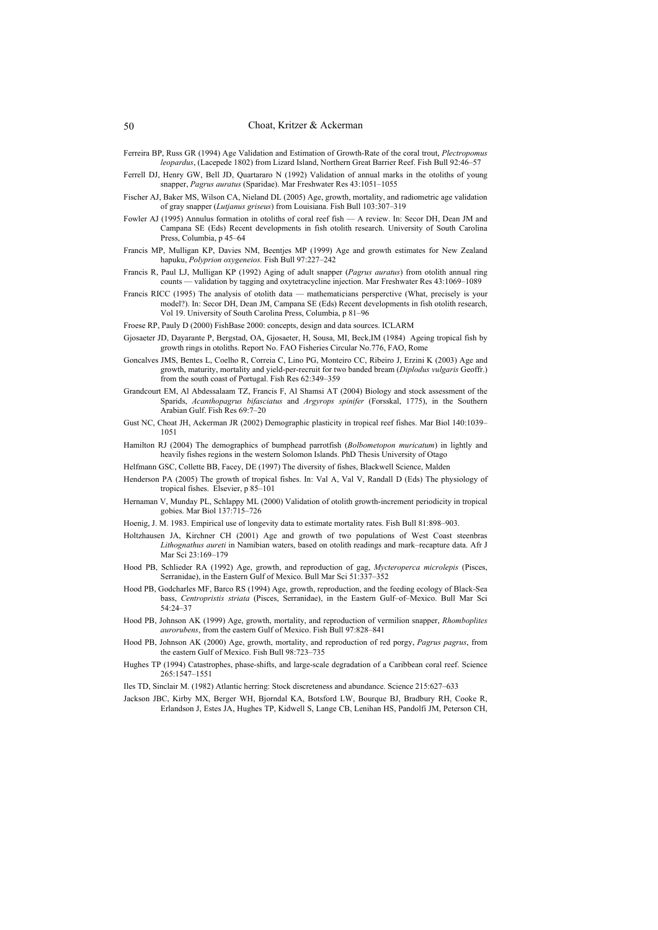Ferreira BP, Russ GR (1994) Age Validation and Estimation of Growth-Rate of the coral trout, *Plectropomus leopardus*, (Lacepede 1802) from Lizard Island, Northern Great Barrier Reef. Fish Bull 92:46–57

- Ferrell DJ, Henry GW, Bell JD, Quartararo N (1992) Validation of annual marks in the otoliths of young snapper, *Pagrus auratus* (Sparidae). Mar Freshwater Res 43:1051–1055
- Fischer AJ, Baker MS, Wilson CA, Nieland DL (2005) Age, growth, mortality, and radiometric age validation of gray snapper (*Lutjanus griseus*) from Louisiana. Fish Bull 103:307–319
- Fowler AJ (1995) Annulus formation in otoliths of coral reef fish A review. In: Secor DH, Dean JM and Campana SE (Eds) Recent developments in fish otolith research. University of South Carolina Press, Columbia, p 45–64
- Francis MP, Mulligan KP, Davies NM, Beentjes MP (1999) Age and growth estimates for New Zealand hapuku, *Polyprion oxygeneios.* Fish Bull 97:227–242
- Francis R, Paul LJ, Mulligan KP (1992) Aging of adult snapper (*Pagrus auratus*) from otolith annual ring counts — validation by tagging and oxytetracycline injection. Mar Freshwater Res 43:1069–1089
- Francis RICC (1995) The analysis of otolith data mathematicians persperctive (What, precisely is your model?). In: Secor DH, Dean JM, Campana SE (Eds) Recent developments in fish otolith research, Vol 19. University of South Carolina Press, Columbia, p 81–96
- Froese RP, Pauly D (2000) FishBase 2000: concepts, design and data sources. ICLARM
- Gjosaeter JD, Dayarante P, Bergstad, OA, Gjosaeter, H, Sousa, MI, Beck,IM (1984) Ageing tropical fish by growth rings in otoliths. Report No. FAO Fisheries Circular No.776, FAO, Rome
- Goncalves JMS, Bentes L, Coelho R, Correia C, Lino PG, Monteiro CC, Ribeiro J, Erzini K (2003) Age and growth, maturity, mortality and yield-per-recruit for two banded bream (*Diplodus vulgaris* Geoffr.) from the south coast of Portugal. Fish Res 62:349–359
- Grandcourt EM, Al Abdessalaam TZ, Francis F, Al Shamsi AT (2004) Biology and stock assessment of the Sparids, *Acanthopagrus bifasciatus* and *Argyrops spinifer* (Forsskal, 1775), in the Southern Arabian Gulf. Fish Res 69:7–20
- Gust NC, Choat JH, Ackerman JR (2002) Demographic plasticity in tropical reef fishes. Mar Biol 140:1039– 1051
- Hamilton RJ (2004) The demographics of bumphead parrotfish (*Bolbometopon muricatum*) in lightly and heavily fishes regions in the western Solomon Islands. PhD Thesis University of Otago
- Helfmann GSC, Collette BB, Facey, DE (1997) The diversity of fishes, Blackwell Science, Malden
- Henderson PA (2005) The growth of tropical fishes. In: Val A, Val V, Randall D (Eds) The physiology of tropical fishes. Elsevier, p 85–101
- Hernaman V, Munday PL, Schlappy ML (2000) Validation of otolith growth-increment periodicity in tropical gobies. Mar Biol 137:715–726
- Hoenig, J. M. 1983. Empirical use of longevity data to estimate mortality rates. Fish Bull 81:898–903.
- Holtzhausen JA, Kirchner CH (2001) Age and growth of two populations of West Coast steenbras *Lithognathus aureti* in Namibian waters, based on otolith readings and mark–recapture data. Afr J Mar Sci 23:169–179
- Hood PB, Schlieder RA (1992) Age, growth, and reproduction of gag, *Mycteroperca microlepis* (Pisces, Serranidae), in the Eastern Gulf of Mexico. Bull Mar Sci 51:337–352
- Hood PB, Godcharles MF, Barco RS (1994) Age, growth, reproduction, and the feeding ecology of Black-Sea bass, *Centropristis striata* (Pisces, Serranidae), in the Eastern Gulf–of–Mexico. Bull Mar Sci 54:24–37
- Hood PB, Johnson AK (1999) Age, growth, mortality, and reproduction of vermilion snapper, *Rhomboplites aurorubens*, from the eastern Gulf of Mexico. Fish Bull 97:828–841
- Hood PB, Johnson AK (2000) Age, growth, mortality, and reproduction of red porgy, *Pagrus pagrus*, from the eastern Gulf of Mexico. Fish Bull 98:723–735
- Hughes TP (1994) Catastrophes, phase-shifts, and large-scale degradation of a Caribbean coral reef. Science 265:1547–1551
- Iles TD, Sinclair M. (1982) Atlantic herring: Stock discreteness and abundance. Science 215:627–633
- Jackson JBC, Kirby MX, Berger WH, Bjorndal KA, Botsford LW, Bourque BJ, Bradbury RH, Cooke R, Erlandson J, Estes JA, Hughes TP, Kidwell S, Lange CB, Lenihan HS, Pandolfi JM, Peterson CH,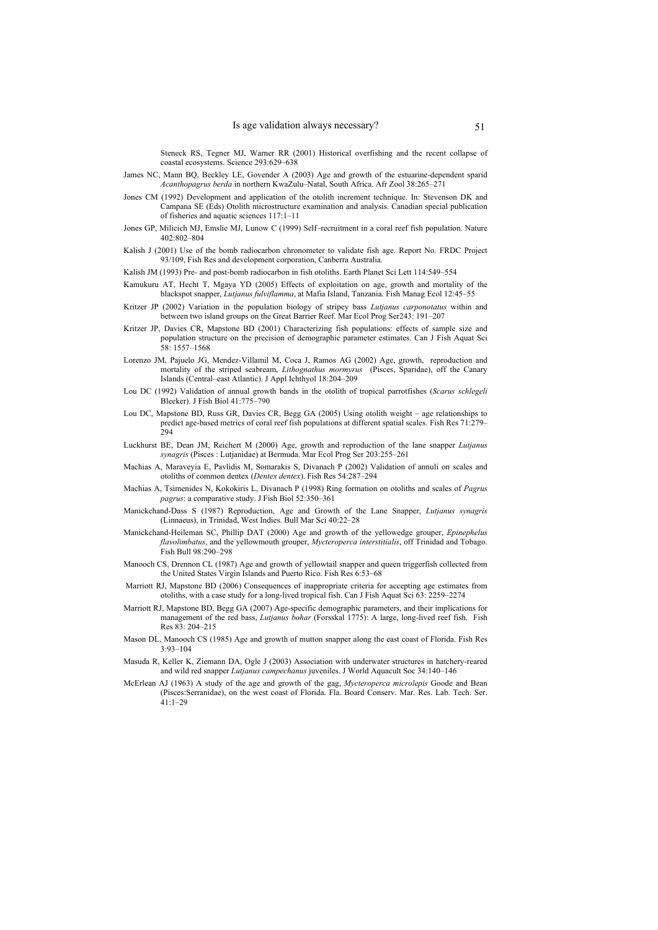Steneck RS, Tegner MJ, Warner RR (2001) Historical overfishing and the recent collapse of coastal ecosystems. Science 293:629–638

- James NC, Mann BQ, Beckley LE, Govender A (2003) Age and growth of the estuarine-dependent sparid *Acanthopagrus berda* in northern KwaZulu–Natal, South Africa. Afr Zool 38:265–271
- Jones CM (1992) Development and application of the otolith increment technique. In: Stevenson DK and Campana SE (Eds) Otolith microstructure examination and analysis. Canadian special publication of fisheries and aquatic sciences 117:1–11
- Jones GP, Milicich MJ, Emslie MJ, Lunow C (1999) Self–recruitment in a coral reef fish population. Nature 402:802–804
- Kalish J (2001) Use of the bomb radiocarbon chronometer to validate fish age. Report No. FRDC Project 93/109, Fish Res and development corporation, Canberra Australia.
- Kalish JM (1993) Pre- and post-bomb radiocarbon in fish otoliths. Earth Planet Sci Lett 114:549–554
- Kamukuru AT, Hecht T, Mgaya YD (2005) Effects of exploitation on age, growth and mortality of the blackspot snapper, *Lutjanus fulviflamma*, at Mafia Island, Tanzania. Fish Manag Ecol 12:45–55
- Kritzer JP (2002) Variation in the population biology of stripey bass *Lutjanus carponotatus* within and between two island groups on the Great Barrier Reef. Mar Ecol Prog Ser243: 191–207
- Kritzer JP, Davies CR, Mapstone BD (2001) Characterizing fish populations: effects of sample size and population structure on the precision of demographic parameter estimates. Can J Fish Aquat Sci 58: 1557–1568
- Lorenzo JM, Pajuelo JG, Mendez-Villamil M, Coca J, Ramos AG (2002) Age, growth, reproduction and mortality of the striped seabream, *Lithognathus mormyrus* (Pisces, Sparidae), off the Canary Islands (Central–east Atlantic). J Appl Ichthyol 18:204–209
- Lou DC (1992) Validation of annual growth bands in the otolith of tropical parrotfishes (*Scarus schlegeli* Bleeker). J Fish Biol 41:775–790
- Lou DC, Mapstone BD, Russ GR, Davies CR, Begg GA (2005) Using otolith weight age relationships to predict age-based metrics of coral reef fish populations at different spatial scales. Fish Res 71:279– 294
- Luckhurst BE, Dean JM, Reichert M (2000) Age, growth and reproduction of the lane snapper *Lutjanus synagris* (Pisces : Lutjanidae) at Bermuda. Mar Ecol Prog Ser 203:255–261
- Machias A, Maraveyia E, Pavlidis M, Somarakis S, Divanach P (2002) Validation of annuli on scales and otoliths of common dentex (*Dentex dentex*). Fish Res 54:287–294
- Machias A, Tsimenides N, Kokokiris L, Divanach P (1998) Ring formation on otoliths and scales of *Pagrus pagrus*: a comparative study. J Fish Biol 52:350–361
- Manickchand-Dass S (1987) Reproduction, Age and Growth of the Lane Snapper, *Lutjanus synagris* (Linnaeus), in Trinidad, West Indies. Bull Mar Sci 40:22–28
- Manickchand-Heileman SC, Phillip DAT (2000) Age and growth of the yellowedge grouper, *Epinephelus flavolimbatus*, and the yellowmouth grouper, *Mycteroperca interstitialis*, off Trinidad and Tobago. Fish Bull 98:290–298
- Manooch CS, Drennon CL (1987) Age and growth of yellowtail snapper and queen triggerfish collected from the United States Virgin Islands and Puerto Rico. Fish Res 6:53–68
- Marriott RJ, Mapstone BD (2006) Consequences of inappropriate criteria for accepting age estimates from otoliths, with a case study for a long-lived tropical fish. Can J Fish Aquat Sci 63: 2259–2274
- Marriott RJ, Mapstone BD, Begg GA (2007) Age-specific demographic parameters, and their implications for management of the red bass, *Lutjanus bohar* (Forsskal 1775): A large, long-lived reef fish. Fish Res 83: 204–215
- Mason DL, Manooch CS (1985) Age and growth of mutton snapper along the east coast of Florida. Fish Res  $3:93 - 104$
- Masuda R, Keller K, Ziemann DA, Ogle J (2003) Association with underwater structures in hatchery-reared and wild red snapper *Lutjanus campechanus* juveniles. J World Aquacult Soc 34:140–146
- McErlean AJ (1963) A study of the age and growth of the gag, *Mycteroperca microlepis* Goode and Bean (Pisces:Serranidae), on the west coast of Florida. Fla. Board Conserv. Mar. Res. Lab. Tech. Ser.  $41 \cdot 1 - 29$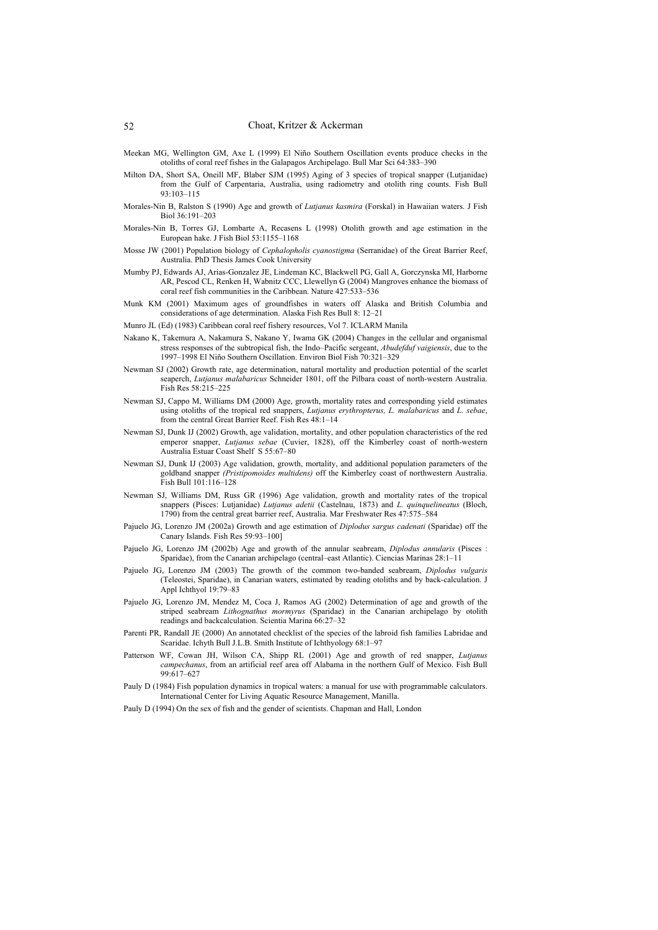- Meekan MG, Wellington GM, Axe L (1999) El Niño Southern Oscillation events produce checks in the otoliths of coral reef fishes in the Galapagos Archipelago. Bull Mar Sci 64:383–390
- Milton DA, Short SA, Oneill MF, Blaber SJM (1995) Aging of 3 species of tropical snapper (Lutjanidae) from the Gulf of Carpentaria, Australia, using radiometry and otolith ring counts. Fish Bull 93:103–115
- Morales-Nin B, Ralston S (1990) Age and growth of *Lutjanus kasmira* (Forskal) in Hawaiian waters. J Fish Biol 36:191–203
- Morales-Nin B, Torres GJ, Lombarte A, Recasens L (1998) Otolith growth and age estimation in the European hake. J Fish Biol 53:1155–1168
- Mosse JW (2001) Population biology of *Cephalopholis cyanostigma* (Serranidae) of the Great Barrier Reef, Australia. PhD Thesis James Cook University
- Mumby PJ, Edwards AJ, Arias-Gonzalez JE, Lindeman KC, Blackwell PG, Gall A, Gorczynska MI, Harborne AR, Pescod CL, Renken H, Wabnitz CCC, Llewellyn G (2004) Mangroves enhance the biomass of coral reef fish communities in the Caribbean. Nature 427:533–536
- Munk KM (2001) Maximum ages of groundfishes in waters off Alaska and British Columbia and considerations of age determination. Alaska Fish Res Bull 8: 12–21
- Munro JL (Ed) (1983) Caribbean coral reef fishery resources, Vol 7. ICLARM Manila
- Nakano K, Takemura A, Nakamura S, Nakano Y, Iwama GK (2004) Changes in the cellular and organismal stress responses of the subtropical fish, the Indo–Pacific sergeant, *Abudefduf vaigiensis*, due to the 1997–1998 El Niño Southern Oscillation. Environ Biol Fish 70:321–329
- Newman SJ (2002) Growth rate, age determination, natural mortality and production potential of the scarlet seaperch, *Lutjanus malabaricus* Schneider 1801, off the Pilbara coast of north-western Australia. Fish Res 58:215–225
- Newman SJ, Cappo M, Williams DM (2000) Age, growth, mortality rates and corresponding yield estimates using otoliths of the tropical red snappers, *Lutjanus erythropterus, L. malabaricus* and *L. sebae*, from the central Great Barrier Reef. Fish Res 48:1–14
- Newman SJ, Dunk IJ (2002) Growth, age validation, mortality, and other population characteristics of the red emperor snapper, *Lutjanus sebae* (Cuvier, 1828), off the Kimberley coast of north-western Australia Estuar Coast Shelf S 55:67–80
- Newman SJ, Dunk IJ (2003) Age validation, growth, mortality, and additional population parameters of the goldband snapper *(Pristipomoides multidens)* off the Kimberley coast of northwestern Australia. Fish Bull 101:116–128
- Newman SJ, Williams DM, Russ GR (1996) Age validation, growth and mortality rates of the tropical snappers (Pisces: Lutjanidae) *Lutjanus adetii* (Castelnau, 1873) and *L. quinquelineatus* (Bloch, 1790) from the central great barrier reef, Australia. Mar Freshwater Res 47:575–584
- Pajuelo JG, Lorenzo JM (2002a) Growth and age estimation of *Diplodus sargus cadenati* (Sparidae) off the Canary Islands. Fish Res 59:93–100]
- Pajuelo JG, Lorenzo JM (2002b) Age and growth of the annular seabream, *Diplodus annularis* (Pisces : Sparidae), from the Canarian archipelago (central–east Atlantic). Ciencias Marinas 28:1–11
- Pajuelo JG, Lorenzo JM (2003) The growth of the common two-banded seabream, *Diplodus vulgaris* (Teleostei, Sparidae), in Canarian waters, estimated by reading otoliths and by back-calculation. J Appl Ichthyol 19:79–83
- Pajuelo JG, Lorenzo JM, Mendez M, Coca J, Ramos AG (2002) Determination of age and growth of the striped seabream *Lithognathus mormyrus* (Sparidae) in the Canarian archipelago by otolith readings and backcalculation. Scientia Marina 66:27–32
- Parenti PR, Randall JE (2000) An annotated checklist of the species of the labroid fish families Labridae and Scaridae. Ichyth Bull J.L.B. Smith Institute of Ichthyology 68:1–97
- Patterson WF, Cowan JH, Wilson CA, Shipp RL (2001) Age and growth of red snapper, *Lutjanus campechanus*, from an artificial reef area off Alabama in the northern Gulf of Mexico. Fish Bull 99:617–627
- Pauly D (1984) Fish population dynamics in tropical waters: a manual for use with programmable calculators. International Center for Living Aquatic Resource Management, Manilla.
- Pauly D (1994) On the sex of fish and the gender of scientists. Chapman and Hall, London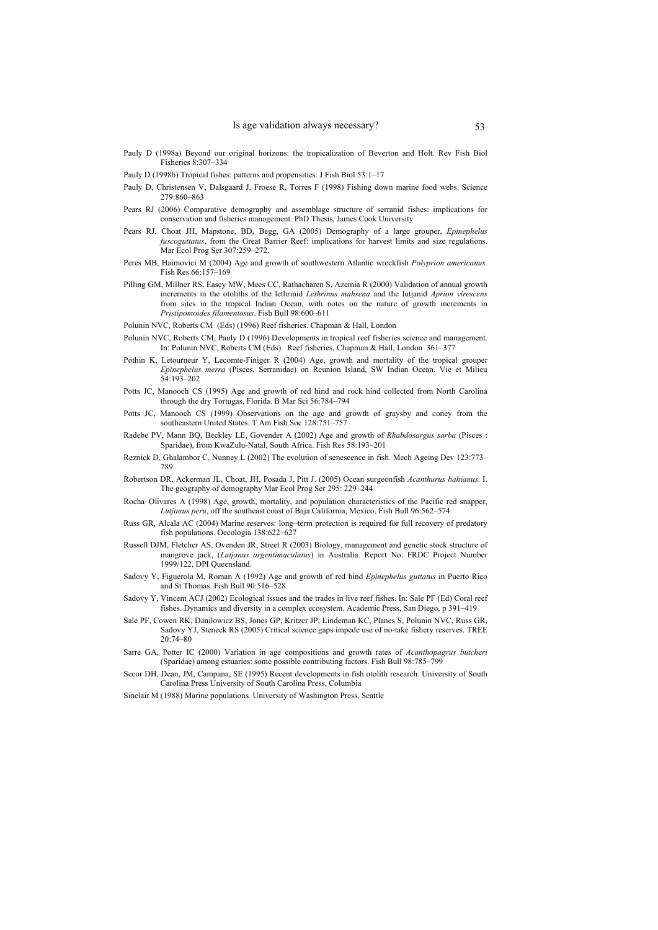- Pauly D (1998a) Beyond our original horizons: the tropicalization of Beverton and Holt. Rev Fish Biol Fisheries 8:307–334
- Pauly D (1998b) Tropical fishes: patterns and propensities. J Fish Biol 53:1–17
- Pauly D, Christensen V, Dalsgaard J, Froese R, Torres F (1998) Fishing down marine food webs. Science 279:860–863
- Pears RJ (2006) Comparative demography and assemblage structure of serranid fishes: implications for conservation and fisheries management. PhD Thesis, James Cook University
- Pears RJ, Choat JH, Mapstone, BD, Begg, GA (2005) Demography of a large grouper, *Epinephelus fuscoguttatus*, from the Great Barrier Reef: implications for harvest limits and size regulations. Mar Ecol Prog Ser 307:259–272.
- Peres MB, Haimovici M (2004) Age and growth of southwestern Atlantic wreckfish *Polyprion americanus.* Fish Res 66:157–169
- Pilling GM, Millner RS, Easey MW, Mees CC, Rathacharen S, Azemia R (2000) Validation of annual growth increments in the otoliths of the lethrinid *Lethrinus mahsena* and the lutjanid *Aprion virescens* from sites in the tropical Indian Ocean, with notes on the nature of growth increments in *Pristipomoides filamentosus*. Fish Bull 98:600–611
- Polunin NVC, Roberts CM (Eds) (1996) Reef fisheries. Chapman & Hall, London
- Polunin NVC, Roberts CM, Pauly D (1996) Developments in tropical reef fisheries science and management. In: Polunin NVC, Roberts CM (Eds). Reef fisheries, Chapman & Hall, London 361–377
- Pothin K, Letourneur Y, Lecomte-Finiger R (2004) Age, growth and mortality of the tropical grouper *Epinephelus merra* (Pisces, Serranidae) on Reunion Island, SW Indian Ocean. Vie et Milieu 54:193–202
- Potts JC, Manooch CS (1995) Age and growth of red hind and rock hind collected from North Carolina through the dry Tortugas, Florida. B Mar Sci 56:784–794
- Potts JC, Manooch CS (1999) Observations on the age and growth of graysby and coney from the southeastern United States. T Am Fish Soc 128:751–757
- Radebe PV, Mann BQ, Beckley LE, Govender A (2002) Age and growth of *Rhabdosargus sarba* (Pisces : Sparidae), from KwaZulu-Natal, South Africa. Fish Res 58:193–201
- Reznick D, Ghalambor C, Nunney L (2002) The evolution of senescence in fish. Mech Ageing Dev 123:773– 789
- Robertson DR, Ackerman JL, Choat, JH, Posada J, Pitt J. (2005) Ocean surgeonfish *Acanthurus bahianus*. I. The geography of demography Mar Ecol Prog Ser 295: 229–244
- Rocha–Olivares A (1998) Age, growth, mortality, and population characteristics of the Pacific red snapper, *Lutjanus peru*, off the southeast coast of Baja California, Mexico. Fish Bull 96:562–574
- Russ GR, Alcala AC (2004) Marine reserves: long–term protection is required for full recovery of predatory fish populations. Oecologia 138:622–627
- Russell DJM, Fletcher AS, Ovenden JR, Street R (2003) Biology, management and genetic stock structure of mangrove jack, (*Lutjanus argentimaculatus*) in Australia. Report No. FRDC Project Number 1999/122, DPI Queensland.
- Sadovy Y, Figuerola M, Roman A (1992) Age and growth of red hind *Epinephelus guttatus* in Puerto Rico and St Thomas. Fish Bull 90:516–528
- Sadovy Y, Vincent ACJ (2002) Ecological issues and the trades in live reef fishes. In: Sale PF (Ed) Coral reef fishes. Dynamics and diversity in a complex ecosystem. Academic Press, San Diego, p 391–419
- Sale PF, Cowen RK, Danilowicz BS, Jones GP, Kritzer JP, Lindeman KC, Planes S, Polunin NVC, Russ GR, Sadovy YJ, Steneck RS (2005) Critical science gaps impede use of no-take fishery reserves. TREE  $20.74 - 80$
- Sarre GA, Potter IC (2000) Variation in age compositions and growth rates of *Acanthopagrus butcheri* (Sparidae) among estuaries: some possible contributing factors. Fish Bull 98:785–799
- Secor DH, Dean, JM, Campana, SE (1995) Recent developments in fish otolith research. University of South Carolina Press University of South Carolina Press, Columbia
- Sinclair M (1988) Marine populations. University of Washington Press, Seattle